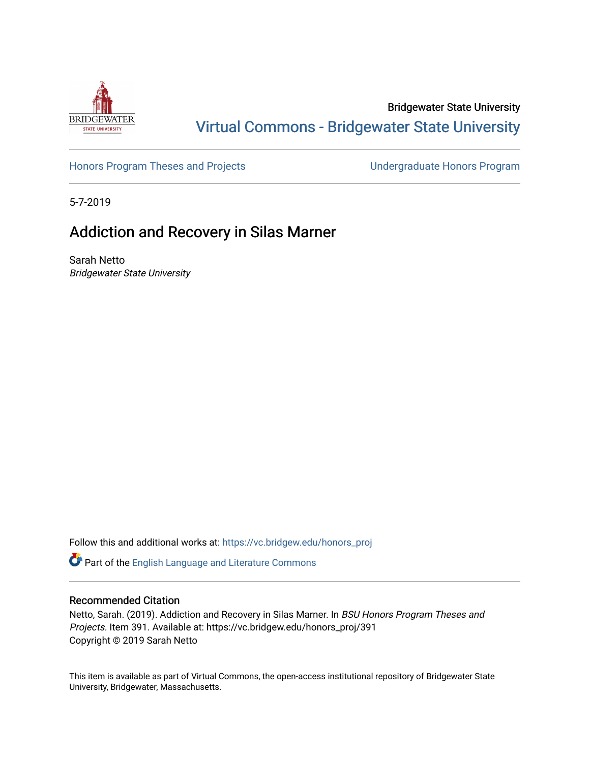

## Bridgewater State University [Virtual Commons - Bridgewater State University](https://vc.bridgew.edu/)

[Honors Program Theses and Projects](https://vc.bridgew.edu/honors_proj) [Undergraduate Honors Program](https://vc.bridgew.edu/honors) 

5-7-2019

## Addiction and Recovery in Silas Marner

Sarah Netto Bridgewater State University

Follow this and additional works at: [https://vc.bridgew.edu/honors\\_proj](https://vc.bridgew.edu/honors_proj?utm_source=vc.bridgew.edu%2Fhonors_proj%2F391&utm_medium=PDF&utm_campaign=PDFCoverPages)

Part of the [English Language and Literature Commons](http://network.bepress.com/hgg/discipline/455?utm_source=vc.bridgew.edu%2Fhonors_proj%2F391&utm_medium=PDF&utm_campaign=PDFCoverPages)

## Recommended Citation

Netto, Sarah. (2019). Addiction and Recovery in Silas Marner. In BSU Honors Program Theses and Projects. Item 391. Available at: https://vc.bridgew.edu/honors\_proj/391 Copyright © 2019 Sarah Netto

This item is available as part of Virtual Commons, the open-access institutional repository of Bridgewater State University, Bridgewater, Massachusetts.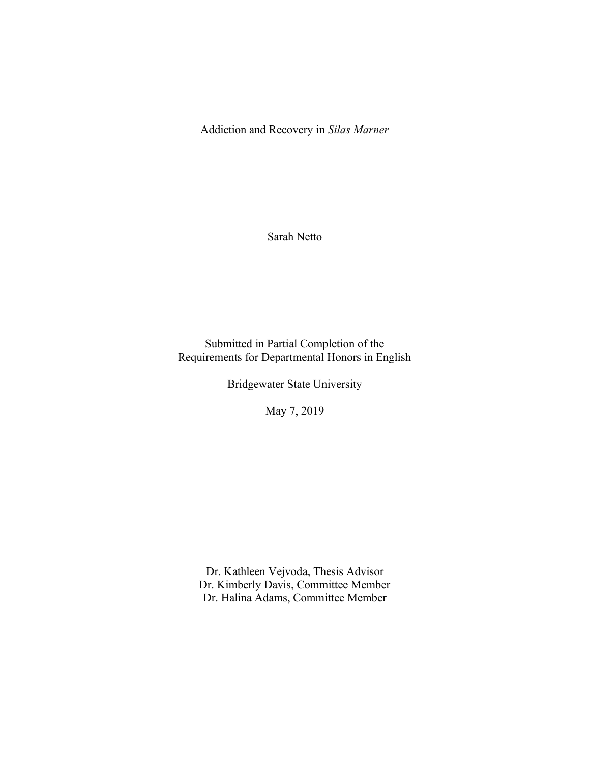Addiction and Recovery in *Silas Marner*

Sarah Netto

Submitted in Partial Completion of the Requirements for Departmental Honors in English

Bridgewater State University

May 7, 2019

Dr. Kathleen Vejvoda, Thesis Advisor Dr. Kimberly Davis, Committee Member Dr. Halina Adams, Committee Member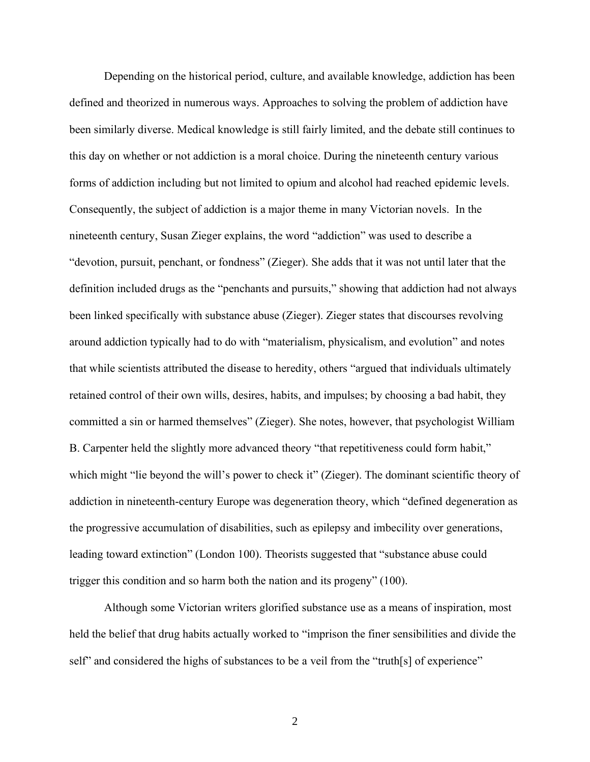Depending on the historical period, culture, and available knowledge, addiction has been defined and theorized in numerous ways. Approaches to solving the problem of addiction have been similarly diverse. Medical knowledge is still fairly limited, and the debate still continues to this day on whether or not addiction is a moral choice. During the nineteenth century various forms of addiction including but not limited to opium and alcohol had reached epidemic levels. Consequently, the subject of addiction is a major theme in many Victorian novels. In the nineteenth century, Susan Zieger explains, the word "addiction" was used to describe a "devotion, pursuit, penchant, or fondness" (Zieger). She adds that it was not until later that the definition included drugs as the "penchants and pursuits," showing that addiction had not always been linked specifically with substance abuse (Zieger). Zieger states that discourses revolving around addiction typically had to do with "materialism, physicalism, and evolution" and notes that while scientists attributed the disease to heredity, others "argued that individuals ultimately retained control of their own wills, desires, habits, and impulses; by choosing a bad habit, they committed a sin or harmed themselves" (Zieger). She notes, however, that psychologist William B. Carpenter held the slightly more advanced theory "that repetitiveness could form habit," which might "lie beyond the will's power to check it" (Zieger). The dominant scientific theory of addiction in nineteenth-century Europe was degeneration theory, which "defined degeneration as the progressive accumulation of disabilities, such as epilepsy and imbecility over generations, leading toward extinction" (London 100). Theorists suggested that "substance abuse could trigger this condition and so harm both the nation and its progeny" (100).

Although some Victorian writers glorified substance use as a means of inspiration, most held the belief that drug habits actually worked to "imprison the finer sensibilities and divide the self" and considered the highs of substances to be a veil from the "truth[s] of experience"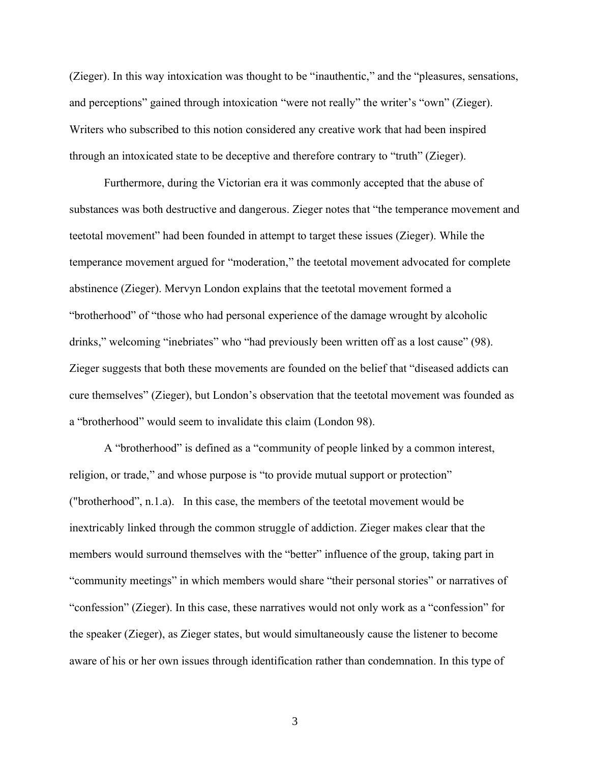(Zieger). In this way intoxication was thought to be "inauthentic," and the "pleasures, sensations, and perceptions" gained through intoxication "were not really" the writer's "own" (Zieger). Writers who subscribed to this notion considered any creative work that had been inspired through an intoxicated state to be deceptive and therefore contrary to "truth" (Zieger).

Furthermore, during the Victorian era it was commonly accepted that the abuse of substances was both destructive and dangerous. Zieger notes that "the temperance movement and teetotal movement" had been founded in attempt to target these issues (Zieger). While the temperance movement argued for "moderation," the teetotal movement advocated for complete abstinence (Zieger). Mervyn London explains that the teetotal movement formed a "brotherhood" of "those who had personal experience of the damage wrought by alcoholic drinks," welcoming "inebriates" who "had previously been written off as a lost cause" (98). Zieger suggests that both these movements are founded on the belief that "diseased addicts can cure themselves" (Zieger), but London's observation that the teetotal movement was founded as a "brotherhood" would seem to invalidate this claim (London 98).

A "brotherhood" is defined as a "community of people linked by a common interest, religion, or trade," and whose purpose is "to provide mutual support or protection" ("brotherhood", n.1.a). In this case, the members of the teetotal movement would be inextricably linked through the common struggle of addiction. Zieger makes clear that the members would surround themselves with the "better" influence of the group, taking part in "community meetings" in which members would share "their personal stories" or narratives of "confession" (Zieger). In this case, these narratives would not only work as a "confession" for the speaker (Zieger), as Zieger states, but would simultaneously cause the listener to become aware of his or her own issues through identification rather than condemnation. In this type of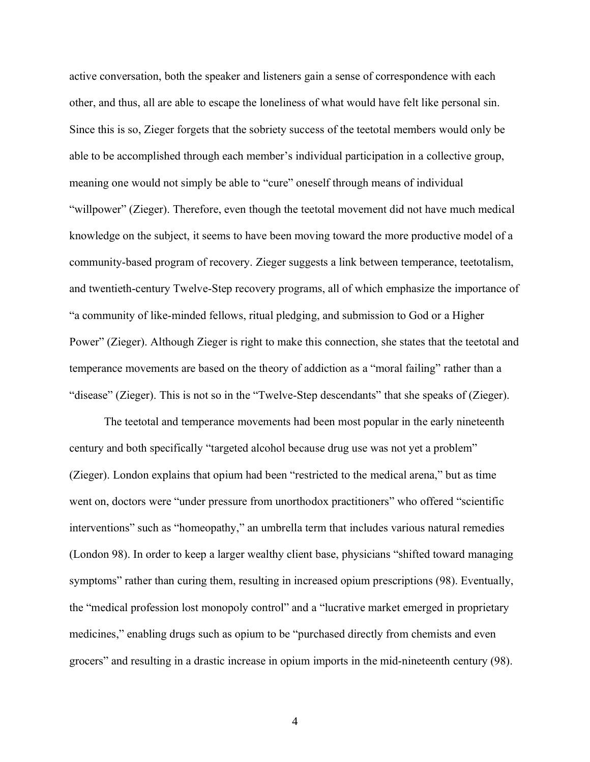active conversation, both the speaker and listeners gain a sense of correspondence with each other, and thus, all are able to escape the loneliness of what would have felt like personal sin. Since this is so, Zieger forgets that the sobriety success of the teetotal members would only be able to be accomplished through each member's individual participation in a collective group, meaning one would not simply be able to "cure" oneself through means of individual "willpower" (Zieger). Therefore, even though the teetotal movement did not have much medical knowledge on the subject, it seems to have been moving toward the more productive model of a community-based program of recovery. Zieger suggests a link between temperance, teetotalism, and twentieth-century Twelve-Step recovery programs, all of which emphasize the importance of "a community of like-minded fellows, ritual pledging, and submission to God or a Higher Power" (Zieger). Although Zieger is right to make this connection, she states that the teetotal and temperance movements are based on the theory of addiction as a "moral failing" rather than a "disease" (Zieger). This is not so in the "Twelve-Step descendants" that she speaks of (Zieger).

The teetotal and temperance movements had been most popular in the early nineteenth century and both specifically "targeted alcohol because drug use was not yet a problem" (Zieger). London explains that opium had been "restricted to the medical arena," but as time went on, doctors were "under pressure from unorthodox practitioners" who offered "scientific interventions" such as "homeopathy," an umbrella term that includes various natural remedies (London 98). In order to keep a larger wealthy client base, physicians "shifted toward managing symptoms" rather than curing them, resulting in increased opium prescriptions (98). Eventually, the "medical profession lost monopoly control" and a "lucrative market emerged in proprietary medicines," enabling drugs such as opium to be "purchased directly from chemists and even grocers" and resulting in a drastic increase in opium imports in the mid-nineteenth century (98).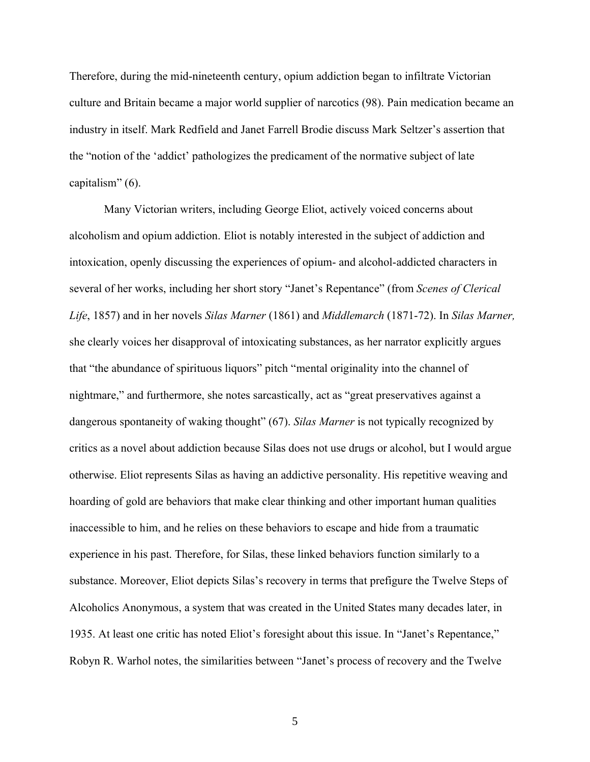Therefore, during the mid-nineteenth century, opium addiction began to infiltrate Victorian culture and Britain became a major world supplier of narcotics (98). Pain medication became an industry in itself. Mark Redfield and Janet Farrell Brodie discuss Mark Seltzer's assertion that the "notion of the 'addict' pathologizes the predicament of the normative subject of late capitalism" (6).

Many Victorian writers, including George Eliot, actively voiced concerns about alcoholism and opium addiction. Eliot is notably interested in the subject of addiction and intoxication, openly discussing the experiences of opium- and alcohol-addicted characters in several of her works, including her short story "Janet's Repentance" (from *Scenes of Clerical Life*, 1857) and in her novels *Silas Marner* (1861) and *Middlemarch* (1871-72). In *Silas Marner,*  she clearly voices her disapproval of intoxicating substances, as her narrator explicitly argues that "the abundance of spirituous liquors" pitch "mental originality into the channel of nightmare," and furthermore, she notes sarcastically, act as "great preservatives against a dangerous spontaneity of waking thought" (67). *Silas Marner* is not typically recognized by critics as a novel about addiction because Silas does not use drugs or alcohol, but I would argue otherwise. Eliot represents Silas as having an addictive personality. His repetitive weaving and hoarding of gold are behaviors that make clear thinking and other important human qualities inaccessible to him, and he relies on these behaviors to escape and hide from a traumatic experience in his past. Therefore, for Silas, these linked behaviors function similarly to a substance. Moreover, Eliot depicts Silas's recovery in terms that prefigure the Twelve Steps of Alcoholics Anonymous, a system that was created in the United States many decades later, in 1935. At least one critic has noted Eliot's foresight about this issue. In "Janet's Repentance," Robyn R. Warhol notes, the similarities between "Janet's process of recovery and the Twelve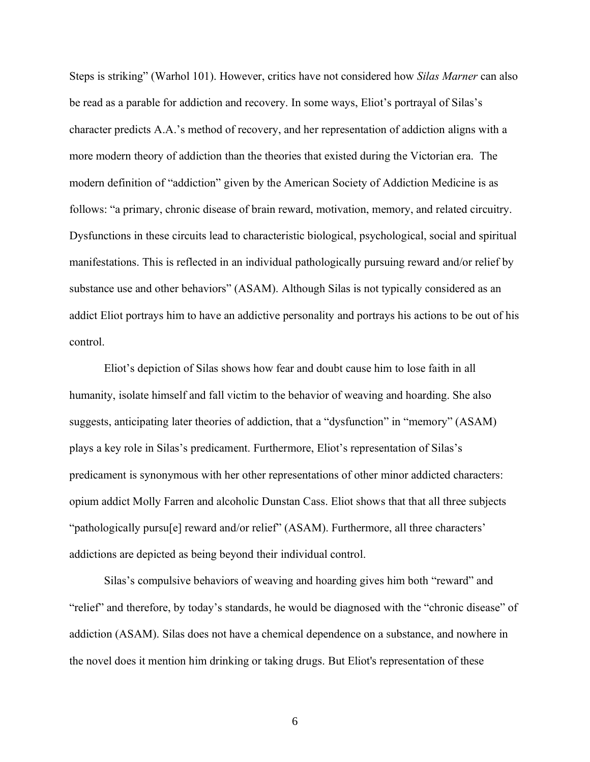Steps is striking" (Warhol 101). However, critics have not considered how *Silas Marner* can also be read as a parable for addiction and recovery. In some ways, Eliot's portrayal of Silas's character predicts A.A.'s method of recovery, and her representation of addiction aligns with a more modern theory of addiction than the theories that existed during the Victorian era. The modern definition of "addiction" given by the American Society of Addiction Medicine is as follows: "a primary, chronic disease of brain reward, motivation, memory, and related circuitry. Dysfunctions in these circuits lead to characteristic biological, psychological, social and spiritual manifestations. This is reflected in an individual pathologically pursuing reward and/or relief by substance use and other behaviors" (ASAM). Although Silas is not typically considered as an addict Eliot portrays him to have an addictive personality and portrays his actions to be out of his control.

Eliot's depiction of Silas shows how fear and doubt cause him to lose faith in all humanity, isolate himself and fall victim to the behavior of weaving and hoarding. She also suggests, anticipating later theories of addiction, that a "dysfunction" in "memory" (ASAM) plays a key role in Silas's predicament. Furthermore, Eliot's representation of Silas's predicament is synonymous with her other representations of other minor addicted characters: opium addict Molly Farren and alcoholic Dunstan Cass. Eliot shows that that all three subjects "pathologically pursu[e] reward and/or relief" (ASAM). Furthermore, all three characters' addictions are depicted as being beyond their individual control.

Silas's compulsive behaviors of weaving and hoarding gives him both "reward" and "relief" and therefore, by today's standards, he would be diagnosed with the "chronic disease" of addiction (ASAM). Silas does not have a chemical dependence on a substance, and nowhere in the novel does it mention him drinking or taking drugs. But Eliot's representation of these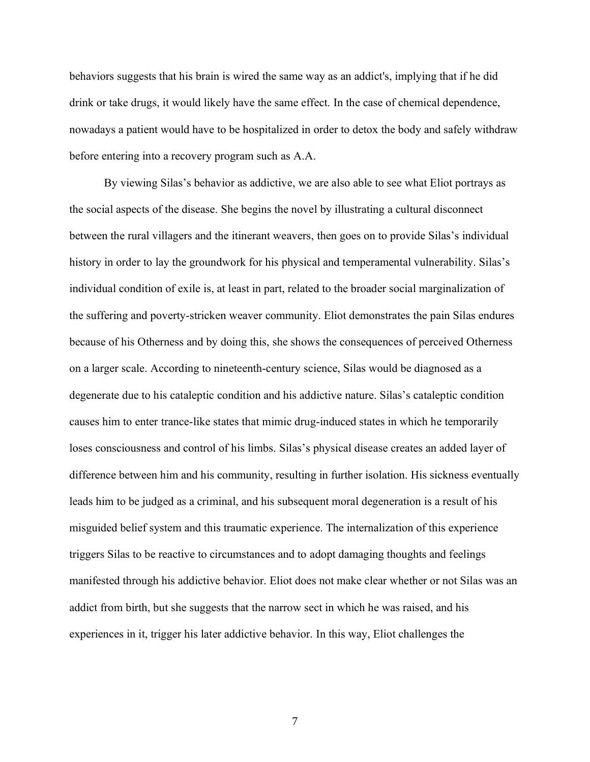behaviors suggests that his brain is wired the same way as an addict's, implying that if he did drink or take drugs, it would likely have the same effect. In the case of chemical dependence, nowadays a patient would have to be hospitalized in order to detox the body and safely withdraw before entering into a recovery program such as A.A.

By viewing Silas's behavior as addictive, we are also able to see what Eliot portrays as the social aspects of the disease. She begins the novel by illustrating a cultural disconnect between the rural villagers and the itinerant weavers, then goes on to provide Silas's individual history in order to lay the groundwork for his physical and temperamental vulnerability. Silas's individual condition of exile is, at least in part, related to the broader social marginalization of the suffering and poverty-stricken weaver community. Eliot demonstrates the pain Silas endures because of his Otherness and by doing this, she shows the consequences of perceived Otherness on a larger scale. According to nineteenth-century science, Silas would be diagnosed as a degenerate due to his cataleptic condition and his addictive nature. Silas's cataleptic condition causes him to enter trance-like states that mimic drug-induced states in which he temporarily loses consciousness and control of his limbs. Silas's physical disease creates an added layer of difference between him and his community, resulting in further isolation. His sickness eventually leads him to be judged as a criminal, and his subsequent moral degeneration is a result of his misguided belief system and this traumatic experience. The internalization of this experience triggers Silas to be reactive to circumstances and to adopt damaging thoughts and feelings manifested through his addictive behavior. Eliot does not make clear whether or not Silas was an addict from birth, but she suggests that the narrow sect in which he was raised, and his experiences in it, trigger his later addictive behavior. In this way, Eliot challenges the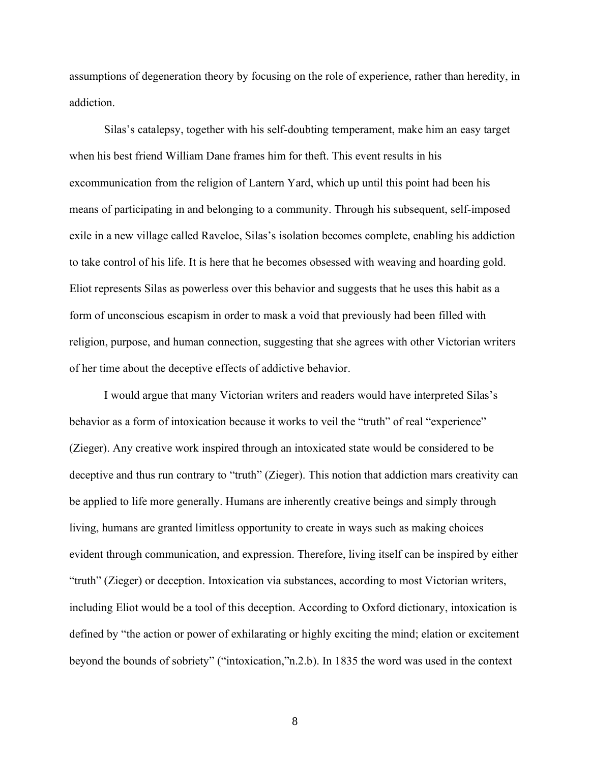assumptions of degeneration theory by focusing on the role of experience, rather than heredity, in addiction.

Silas's catalepsy, together with his self-doubting temperament, make him an easy target when his best friend William Dane frames him for theft. This event results in his excommunication from the religion of Lantern Yard, which up until this point had been his means of participating in and belonging to a community. Through his subsequent, self-imposed exile in a new village called Raveloe, Silas's isolation becomes complete, enabling his addiction to take control of his life. It is here that he becomes obsessed with weaving and hoarding gold. Eliot represents Silas as powerless over this behavior and suggests that he uses this habit as a form of unconscious escapism in order to mask a void that previously had been filled with religion, purpose, and human connection, suggesting that she agrees with other Victorian writers of her time about the deceptive effects of addictive behavior.

I would argue that many Victorian writers and readers would have interpreted Silas's behavior as a form of intoxication because it works to veil the "truth" of real "experience" (Zieger). Any creative work inspired through an intoxicated state would be considered to be deceptive and thus run contrary to "truth" (Zieger). This notion that addiction mars creativity can be applied to life more generally. Humans are inherently creative beings and simply through living, humans are granted limitless opportunity to create in ways such as making choices evident through communication, and expression. Therefore, living itself can be inspired by either "truth" (Zieger) or deception. Intoxication via substances, according to most Victorian writers, including Eliot would be a tool of this deception. According to Oxford dictionary, intoxication is defined by "the action or power of exhilarating or highly exciting the mind; elation or excitement beyond the bounds of sobriety" ("intoxication,"n.2.b). In 1835 the word was used in the context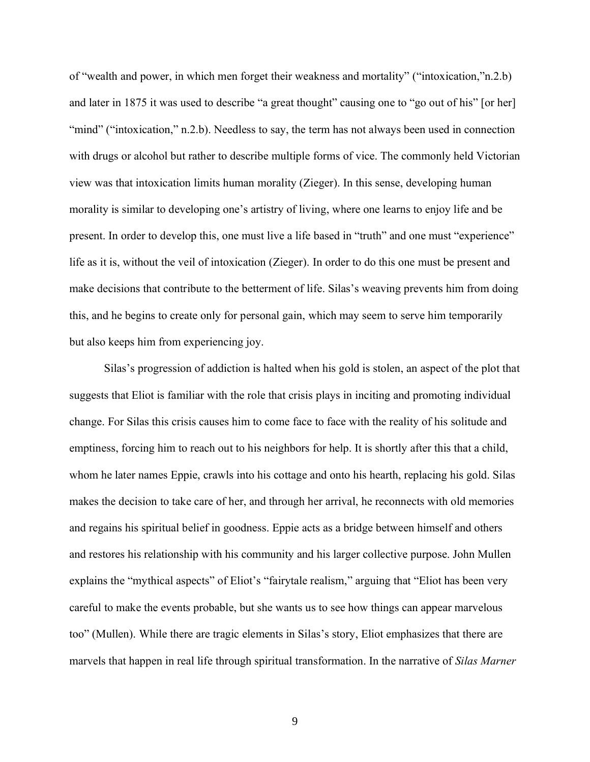of "wealth and power, in which men forget their weakness and mortality" ("intoxication,"n.2.b) and later in 1875 it was used to describe "a great thought" causing one to "go out of his" [or her] "mind" ("intoxication," n.2.b). Needless to say, the term has not always been used in connection with drugs or alcohol but rather to describe multiple forms of vice. The commonly held Victorian view was that intoxication limits human morality (Zieger). In this sense, developing human morality is similar to developing one's artistry of living, where one learns to enjoy life and be present. In order to develop this, one must live a life based in "truth" and one must "experience" life as it is, without the veil of intoxication (Zieger). In order to do this one must be present and make decisions that contribute to the betterment of life. Silas's weaving prevents him from doing this, and he begins to create only for personal gain, which may seem to serve him temporarily but also keeps him from experiencing joy.

Silas's progression of addiction is halted when his gold is stolen, an aspect of the plot that suggests that Eliot is familiar with the role that crisis plays in inciting and promoting individual change. For Silas this crisis causes him to come face to face with the reality of his solitude and emptiness, forcing him to reach out to his neighbors for help. It is shortly after this that a child, whom he later names Eppie, crawls into his cottage and onto his hearth, replacing his gold. Silas makes the decision to take care of her, and through her arrival, he reconnects with old memories and regains his spiritual belief in goodness. Eppie acts as a bridge between himself and others and restores his relationship with his community and his larger collective purpose. John Mullen explains the "mythical aspects" of Eliot's "fairytale realism," arguing that "Eliot has been very careful to make the events probable, but she wants us to see how things can appear marvelous too" (Mullen). While there are tragic elements in Silas's story, Eliot emphasizes that there are marvels that happen in real life through spiritual transformation. In the narrative of *Silas Marner*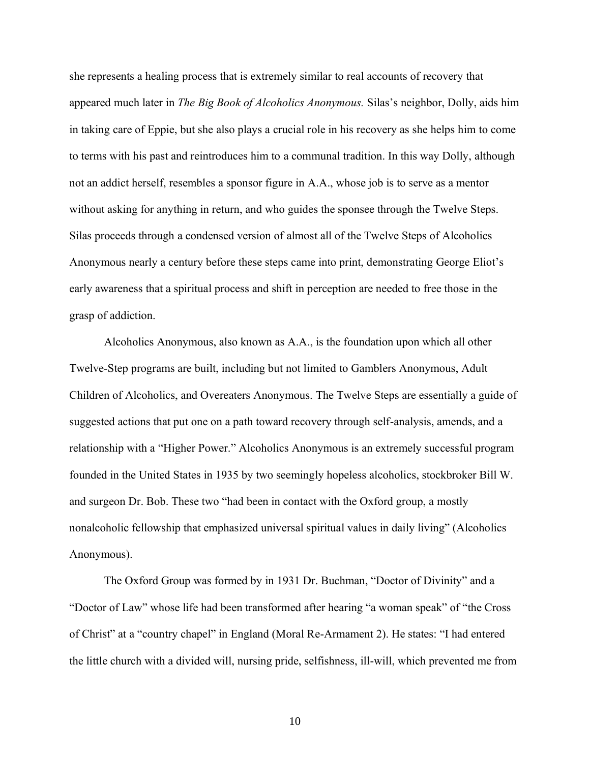she represents a healing process that is extremely similar to real accounts of recovery that appeared much later in *The Big Book of Alcoholics Anonymous.* Silas's neighbor, Dolly, aids him in taking care of Eppie, but she also plays a crucial role in his recovery as she helps him to come to terms with his past and reintroduces him to a communal tradition. In this way Dolly, although not an addict herself, resembles a sponsor figure in A.A., whose job is to serve as a mentor without asking for anything in return, and who guides the sponsee through the Twelve Steps. Silas proceeds through a condensed version of almost all of the Twelve Steps of Alcoholics Anonymous nearly a century before these steps came into print, demonstrating George Eliot's early awareness that a spiritual process and shift in perception are needed to free those in the grasp of addiction.

Alcoholics Anonymous, also known as A.A., is the foundation upon which all other Twelve-Step programs are built, including but not limited to Gamblers Anonymous, Adult Children of Alcoholics, and Overeaters Anonymous. The Twelve Steps are essentially a guide of suggested actions that put one on a path toward recovery through self-analysis, amends, and a relationship with a "Higher Power." Alcoholics Anonymous is an extremely successful program founded in the United States in 1935 by two seemingly hopeless alcoholics, stockbroker Bill W. and surgeon Dr. Bob. These two "had been in contact with the Oxford group, a mostly nonalcoholic fellowship that emphasized universal spiritual values in daily living" (Alcoholics Anonymous).

The Oxford Group was formed by in 1931 Dr. Buchman, "Doctor of Divinity" and a "Doctor of Law" whose life had been transformed after hearing "a woman speak" of "the Cross of Christ" at a "country chapel" in England (Moral Re-Armament 2). He states: "I had entered the little church with a divided will, nursing pride, selfishness, ill-will, which prevented me from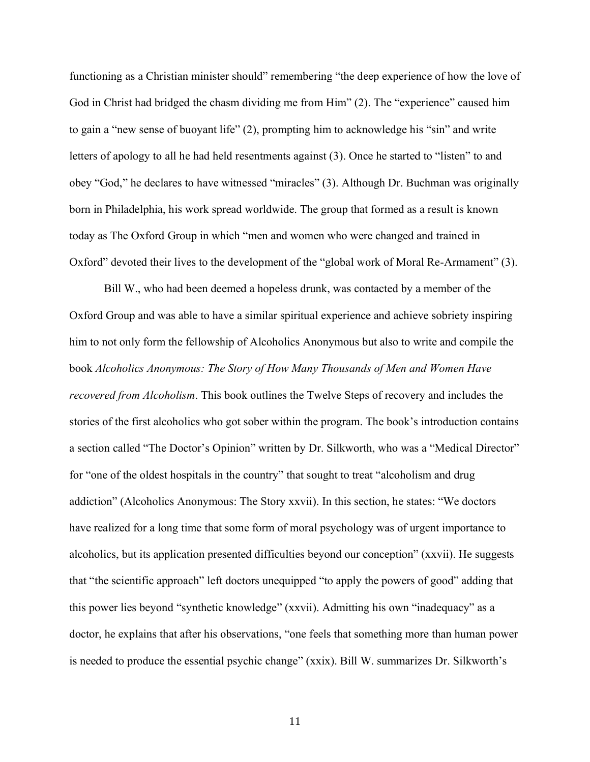functioning as a Christian minister should" remembering "the deep experience of how the love of God in Christ had bridged the chasm dividing me from Him" (2). The "experience" caused him to gain a "new sense of buoyant life" (2), prompting him to acknowledge his "sin" and write letters of apology to all he had held resentments against (3). Once he started to "listen" to and obey "God," he declares to have witnessed "miracles" (3). Although Dr. Buchman was originally born in Philadelphia, his work spread worldwide. The group that formed as a result is known today as The Oxford Group in which "men and women who were changed and trained in Oxford" devoted their lives to the development of the "global work of Moral Re-Armament" (3).

Bill W., who had been deemed a hopeless drunk, was contacted by a member of the Oxford Group and was able to have a similar spiritual experience and achieve sobriety inspiring him to not only form the fellowship of Alcoholics Anonymous but also to write and compile the book *Alcoholics Anonymous: The Story of How Many Thousands of Men and Women Have recovered from Alcoholism*. This book outlines the Twelve Steps of recovery and includes the stories of the first alcoholics who got sober within the program. The book's introduction contains a section called "The Doctor's Opinion" written by Dr. Silkworth, who was a "Medical Director" for "one of the oldest hospitals in the country" that sought to treat "alcoholism and drug addiction" (Alcoholics Anonymous: The Story xxvii). In this section, he states: "We doctors have realized for a long time that some form of moral psychology was of urgent importance to alcoholics, but its application presented difficulties beyond our conception" (xxvii). He suggests that "the scientific approach" left doctors unequipped "to apply the powers of good" adding that this power lies beyond "synthetic knowledge" (xxvii). Admitting his own "inadequacy" as a doctor, he explains that after his observations, "one feels that something more than human power is needed to produce the essential psychic change" (xxix). Bill W. summarizes Dr. Silkworth's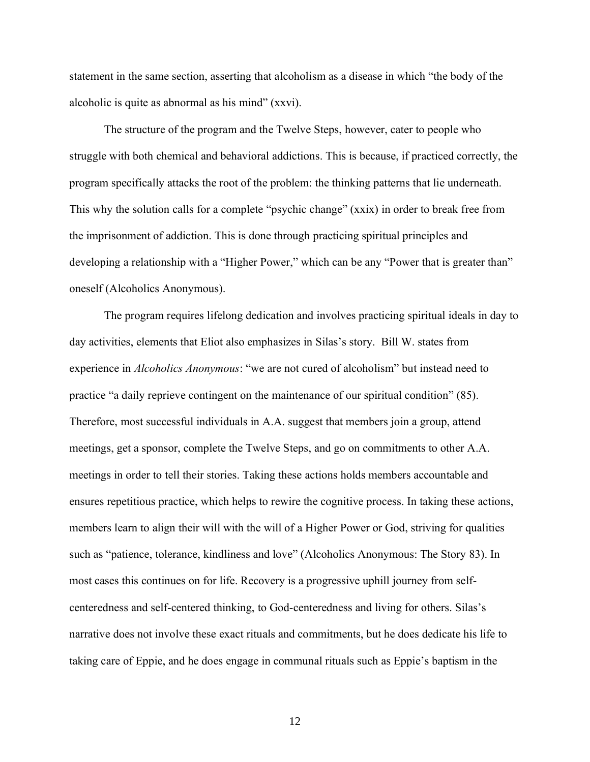statement in the same section, asserting that alcoholism as a disease in which "the body of the alcoholic is quite as abnormal as his mind" (xxvi).

The structure of the program and the Twelve Steps, however, cater to people who struggle with both chemical and behavioral addictions. This is because, if practiced correctly, the program specifically attacks the root of the problem: the thinking patterns that lie underneath. This why the solution calls for a complete "psychic change" (xxix) in order to break free from the imprisonment of addiction. This is done through practicing spiritual principles and developing a relationship with a "Higher Power," which can be any "Power that is greater than" oneself (Alcoholics Anonymous).

The program requires lifelong dedication and involves practicing spiritual ideals in day to day activities, elements that Eliot also emphasizes in Silas's story. Bill W. states from experience in *Alcoholics Anonymous*: "we are not cured of alcoholism" but instead need to practice "a daily reprieve contingent on the maintenance of our spiritual condition" (85). Therefore, most successful individuals in A.A. suggest that members join a group, attend meetings, get a sponsor, complete the Twelve Steps, and go on commitments to other A.A. meetings in order to tell their stories. Taking these actions holds members accountable and ensures repetitious practice, which helps to rewire the cognitive process. In taking these actions, members learn to align their will with the will of a Higher Power or God, striving for qualities such as "patience, tolerance, kindliness and love" (Alcoholics Anonymous: The Story 83). In most cases this continues on for life. Recovery is a progressive uphill journey from selfcenteredness and self-centered thinking, to God-centeredness and living for others. Silas's narrative does not involve these exact rituals and commitments, but he does dedicate his life to taking care of Eppie, and he does engage in communal rituals such as Eppie's baptism in the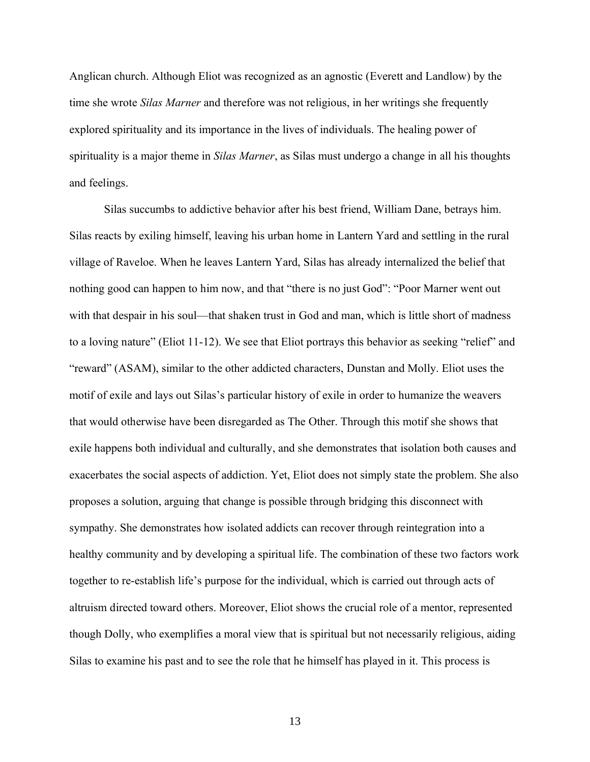Anglican church. Although Eliot was recognized as an agnostic (Everett and Landlow) by the time she wrote *Silas Marner* and therefore was not religious, in her writings she frequently explored spirituality and its importance in the lives of individuals. The healing power of spirituality is a major theme in *Silas Marner*, as Silas must undergo a change in all his thoughts and feelings.

Silas succumbs to addictive behavior after his best friend, William Dane, betrays him. Silas reacts by exiling himself, leaving his urban home in Lantern Yard and settling in the rural village of Raveloe. When he leaves Lantern Yard, Silas has already internalized the belief that nothing good can happen to him now, and that "there is no just God": "Poor Marner went out with that despair in his soul—that shaken trust in God and man, which is little short of madness to a loving nature" (Eliot 11-12). We see that Eliot portrays this behavior as seeking "relief" and "reward" (ASAM), similar to the other addicted characters, Dunstan and Molly. Eliot uses the motif of exile and lays out Silas's particular history of exile in order to humanize the weavers that would otherwise have been disregarded as The Other. Through this motif she shows that exile happens both individual and culturally, and she demonstrates that isolation both causes and exacerbates the social aspects of addiction. Yet, Eliot does not simply state the problem. She also proposes a solution, arguing that change is possible through bridging this disconnect with sympathy. She demonstrates how isolated addicts can recover through reintegration into a healthy community and by developing a spiritual life. The combination of these two factors work together to re-establish life's purpose for the individual, which is carried out through acts of altruism directed toward others. Moreover, Eliot shows the crucial role of a mentor, represented though Dolly, who exemplifies a moral view that is spiritual but not necessarily religious, aiding Silas to examine his past and to see the role that he himself has played in it. This process is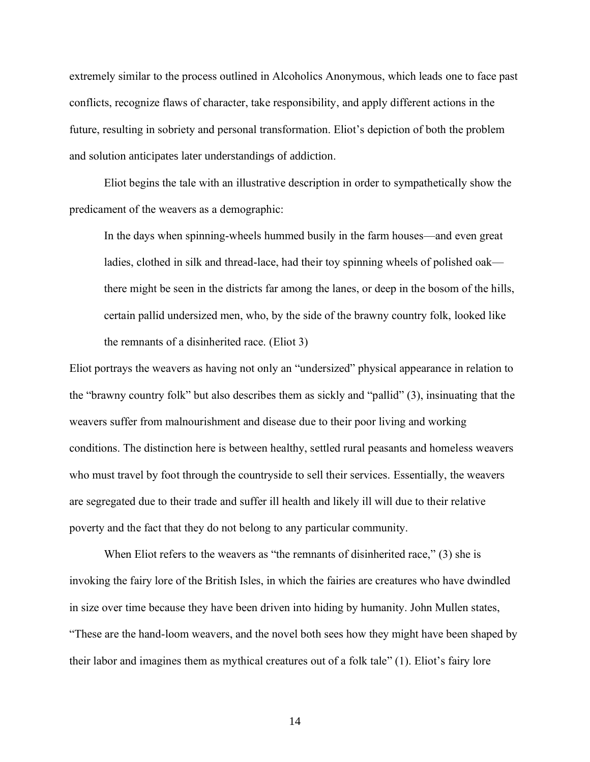extremely similar to the process outlined in Alcoholics Anonymous, which leads one to face past conflicts, recognize flaws of character, take responsibility, and apply different actions in the future, resulting in sobriety and personal transformation. Eliot's depiction of both the problem and solution anticipates later understandings of addiction.

Eliot begins the tale with an illustrative description in order to sympathetically show the predicament of the weavers as a demographic:

In the days when spinning-wheels hummed busily in the farm houses—and even great ladies, clothed in silk and thread-lace, had their toy spinning wheels of polished oak there might be seen in the districts far among the lanes, or deep in the bosom of the hills, certain pallid undersized men, who, by the side of the brawny country folk, looked like the remnants of a disinherited race. (Eliot 3)

Eliot portrays the weavers as having not only an "undersized" physical appearance in relation to the "brawny country folk" but also describes them as sickly and "pallid" (3), insinuating that the weavers suffer from malnourishment and disease due to their poor living and working conditions. The distinction here is between healthy, settled rural peasants and homeless weavers who must travel by foot through the countryside to sell their services. Essentially, the weavers are segregated due to their trade and suffer ill health and likely ill will due to their relative poverty and the fact that they do not belong to any particular community.

When Eliot refers to the weavers as "the remnants of disinherited race," (3) she is invoking the fairy lore of the British Isles, in which the fairies are creatures who have dwindled in size over time because they have been driven into hiding by humanity. John Mullen states, "These are the hand-loom weavers, and the novel both sees how they might have been shaped by their labor and imagines them as mythical creatures out of a folk tale" (1). Eliot's fairy lore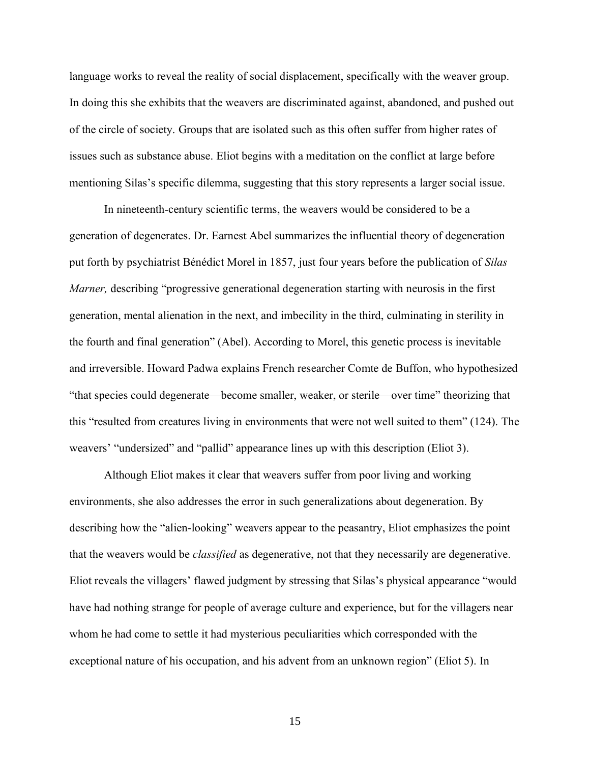language works to reveal the reality of social displacement, specifically with the weaver group. In doing this she exhibits that the weavers are discriminated against, abandoned, and pushed out of the circle of society. Groups that are isolated such as this often suffer from higher rates of issues such as substance abuse. Eliot begins with a meditation on the conflict at large before mentioning Silas's specific dilemma, suggesting that this story represents a larger social issue.

In nineteenth-century scientific terms, the weavers would be considered to be a generation of degenerates. Dr. Earnest Abel summarizes the influential theory of degeneration put forth by psychiatrist Bénédict Morel in 1857, just four years before the publication of *Silas Marner*, describing "progressive generational degeneration starting with neurosis in the first generation, mental alienation in the next, and imbecility in the third, culminating in sterility in the fourth and final generation" (Abel). According to Morel, this genetic process is inevitable and irreversible. Howard Padwa explains French researcher Comte de Buffon, who hypothesized "that species could degenerate—become smaller, weaker, or sterile—over time" theorizing that this "resulted from creatures living in environments that were not well suited to them" (124). The weavers' "undersized" and "pallid" appearance lines up with this description (Eliot 3).

Although Eliot makes it clear that weavers suffer from poor living and working environments, she also addresses the error in such generalizations about degeneration. By describing how the "alien-looking" weavers appear to the peasantry, Eliot emphasizes the point that the weavers would be *classified* as degenerative, not that they necessarily are degenerative. Eliot reveals the villagers' flawed judgment by stressing that Silas's physical appearance "would have had nothing strange for people of average culture and experience, but for the villagers near whom he had come to settle it had mysterious peculiarities which corresponded with the exceptional nature of his occupation, and his advent from an unknown region" (Eliot 5). In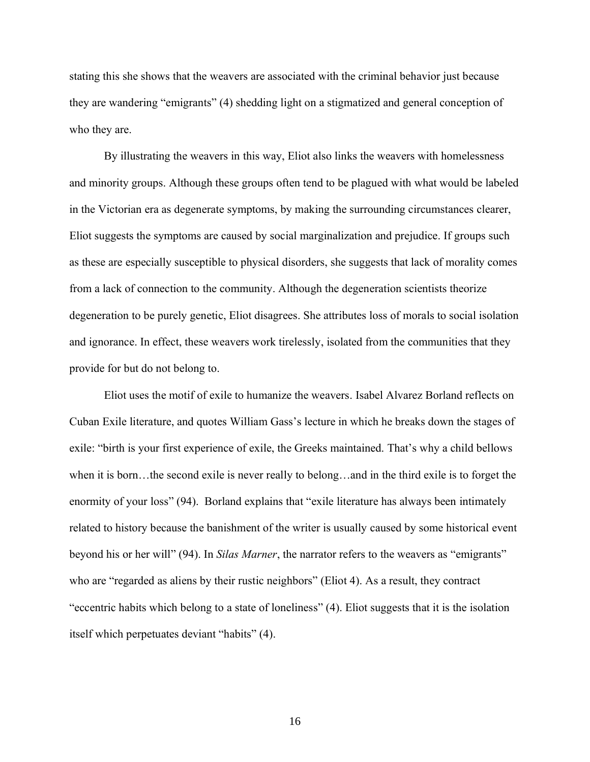stating this she shows that the weavers are associated with the criminal behavior just because they are wandering "emigrants" (4) shedding light on a stigmatized and general conception of who they are.

By illustrating the weavers in this way, Eliot also links the weavers with homelessness and minority groups. Although these groups often tend to be plagued with what would be labeled in the Victorian era as degenerate symptoms, by making the surrounding circumstances clearer, Eliot suggests the symptoms are caused by social marginalization and prejudice. If groups such as these are especially susceptible to physical disorders, she suggests that lack of morality comes from a lack of connection to the community. Although the degeneration scientists theorize degeneration to be purely genetic, Eliot disagrees. She attributes loss of morals to social isolation and ignorance. In effect, these weavers work tirelessly, isolated from the communities that they provide for but do not belong to.

Eliot uses the motif of exile to humanize the weavers. Isabel Alvarez Borland reflects on Cuban Exile literature, and quotes William Gass's lecture in which he breaks down the stages of exile: "birth is your first experience of exile, the Greeks maintained. That's why a child bellows when it is born…the second exile is never really to belong…and in the third exile is to forget the enormity of your loss" (94). Borland explains that "exile literature has always been intimately related to history because the banishment of the writer is usually caused by some historical event beyond his or her will" (94). In *Silas Marner*, the narrator refers to the weavers as "emigrants" who are "regarded as aliens by their rustic neighbors" (Eliot 4). As a result, they contract "eccentric habits which belong to a state of loneliness" (4). Eliot suggests that it is the isolation itself which perpetuates deviant "habits" (4).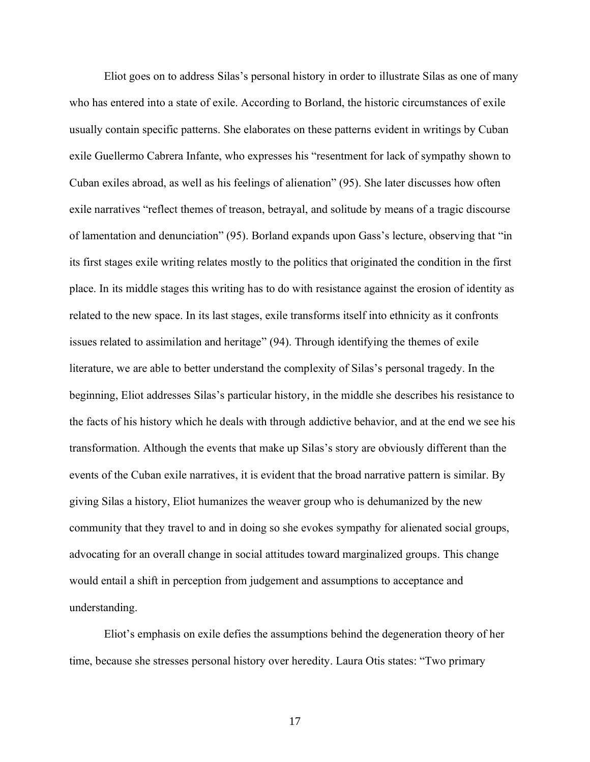Eliot goes on to address Silas's personal history in order to illustrate Silas as one of many who has entered into a state of exile. According to Borland, the historic circumstances of exile usually contain specific patterns. She elaborates on these patterns evident in writings by Cuban exile Guellermo Cabrera Infante, who expresses his "resentment for lack of sympathy shown to Cuban exiles abroad, as well as his feelings of alienation" (95). She later discusses how often exile narratives "reflect themes of treason, betrayal, and solitude by means of a tragic discourse of lamentation and denunciation" (95). Borland expands upon Gass's lecture, observing that "in its first stages exile writing relates mostly to the politics that originated the condition in the first place. In its middle stages this writing has to do with resistance against the erosion of identity as related to the new space. In its last stages, exile transforms itself into ethnicity as it confronts issues related to assimilation and heritage" (94). Through identifying the themes of exile literature, we are able to better understand the complexity of Silas's personal tragedy. In the beginning, Eliot addresses Silas's particular history, in the middle she describes his resistance to the facts of his history which he deals with through addictive behavior, and at the end we see his transformation. Although the events that make up Silas's story are obviously different than the events of the Cuban exile narratives, it is evident that the broad narrative pattern is similar. By giving Silas a history, Eliot humanizes the weaver group who is dehumanized by the new community that they travel to and in doing so she evokes sympathy for alienated social groups, advocating for an overall change in social attitudes toward marginalized groups. This change would entail a shift in perception from judgement and assumptions to acceptance and understanding.

Eliot's emphasis on exile defies the assumptions behind the degeneration theory of her time, because she stresses personal history over heredity. Laura Otis states: "Two primary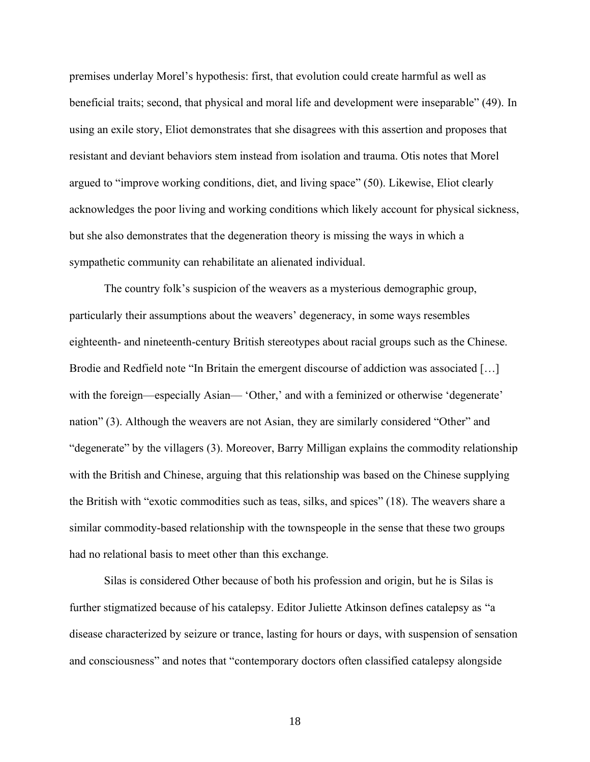premises underlay Morel's hypothesis: first, that evolution could create harmful as well as beneficial traits; second, that physical and moral life and development were inseparable" (49). In using an exile story, Eliot demonstrates that she disagrees with this assertion and proposes that resistant and deviant behaviors stem instead from isolation and trauma. Otis notes that Morel argued to "improve working conditions, diet, and living space" (50). Likewise, Eliot clearly acknowledges the poor living and working conditions which likely account for physical sickness, but she also demonstrates that the degeneration theory is missing the ways in which a sympathetic community can rehabilitate an alienated individual.

The country folk's suspicion of the weavers as a mysterious demographic group, particularly their assumptions about the weavers' degeneracy, in some ways resembles eighteenth- and nineteenth-century British stereotypes about racial groups such as the Chinese. Brodie and Redfield note "In Britain the emergent discourse of addiction was associated [...] with the foreign—especially Asian— 'Other,' and with a feminized or otherwise 'degenerate' nation" (3). Although the weavers are not Asian, they are similarly considered "Other" and "degenerate" by the villagers (3). Moreover, Barry Milligan explains the commodity relationship with the British and Chinese, arguing that this relationship was based on the Chinese supplying the British with "exotic commodities such as teas, silks, and spices" (18). The weavers share a similar commodity-based relationship with the townspeople in the sense that these two groups had no relational basis to meet other than this exchange.

Silas is considered Other because of both his profession and origin, but he is Silas is further stigmatized because of his catalepsy. Editor Juliette Atkinson defines catalepsy as "a disease characterized by seizure or trance, lasting for hours or days, with suspension of sensation and consciousness" and notes that "contemporary doctors often classified catalepsy alongside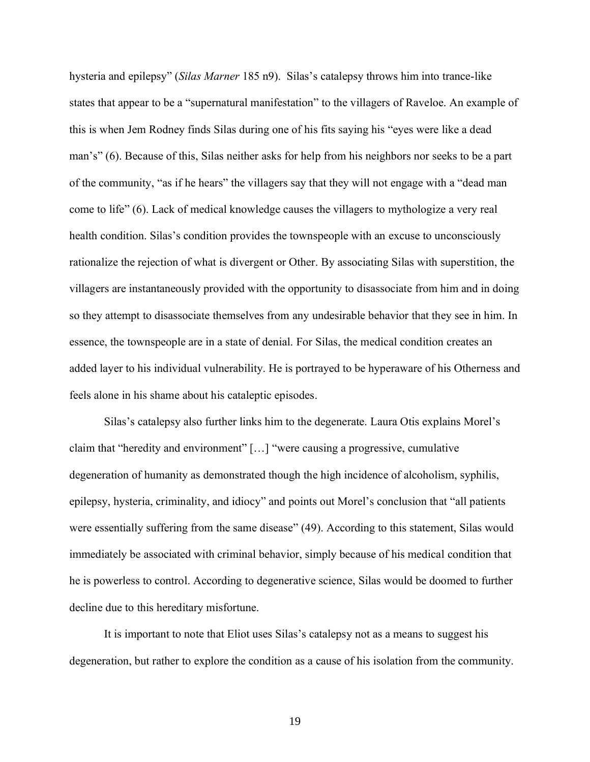hysteria and epilepsy" (*Silas Marner* 185 n9). Silas's catalepsy throws him into trance-like states that appear to be a "supernatural manifestation" to the villagers of Raveloe. An example of this is when Jem Rodney finds Silas during one of his fits saying his "eyes were like a dead man's" (6). Because of this, Silas neither asks for help from his neighbors nor seeks to be a part of the community, "as if he hears" the villagers say that they will not engage with a "dead man come to life" (6). Lack of medical knowledge causes the villagers to mythologize a very real health condition. Silas's condition provides the townspeople with an excuse to unconsciously rationalize the rejection of what is divergent or Other. By associating Silas with superstition, the villagers are instantaneously provided with the opportunity to disassociate from him and in doing so they attempt to disassociate themselves from any undesirable behavior that they see in him. In essence, the townspeople are in a state of denial. For Silas, the medical condition creates an added layer to his individual vulnerability. He is portrayed to be hyperaware of his Otherness and feels alone in his shame about his cataleptic episodes.

Silas's catalepsy also further links him to the degenerate. Laura Otis explains Morel's claim that "heredity and environment" […] "were causing a progressive, cumulative degeneration of humanity as demonstrated though the high incidence of alcoholism, syphilis, epilepsy, hysteria, criminality, and idiocy" and points out Morel's conclusion that "all patients were essentially suffering from the same disease" (49). According to this statement, Silas would immediately be associated with criminal behavior, simply because of his medical condition that he is powerless to control. According to degenerative science, Silas would be doomed to further decline due to this hereditary misfortune.

It is important to note that Eliot uses Silas's catalepsy not as a means to suggest his degeneration, but rather to explore the condition as a cause of his isolation from the community.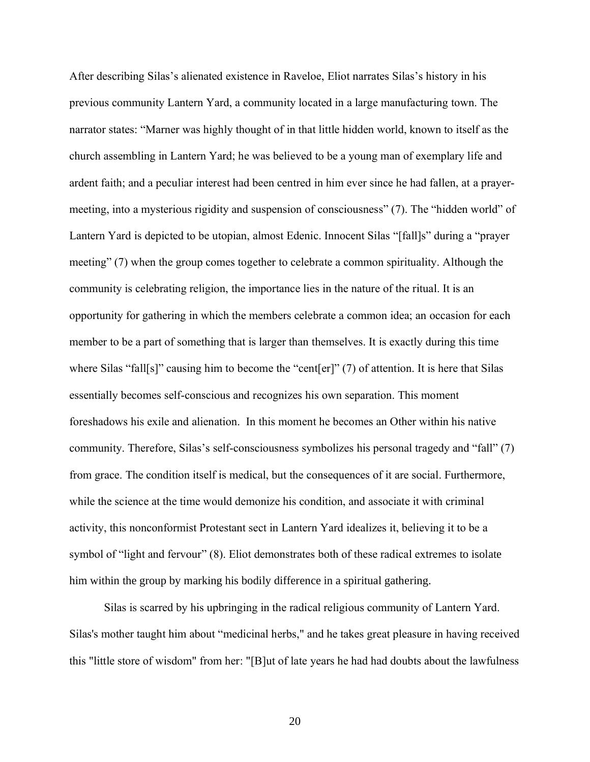After describing Silas's alienated existence in Raveloe, Eliot narrates Silas's history in his previous community Lantern Yard, a community located in a large manufacturing town. The narrator states: "Marner was highly thought of in that little hidden world, known to itself as the church assembling in Lantern Yard; he was believed to be a young man of exemplary life and ardent faith; and a peculiar interest had been centred in him ever since he had fallen, at a prayermeeting, into a mysterious rigidity and suspension of consciousness" (7). The "hidden world" of Lantern Yard is depicted to be utopian, almost Edenic. Innocent Silas "[fall]s" during a "prayer meeting" (7) when the group comes together to celebrate a common spirituality. Although the community is celebrating religion, the importance lies in the nature of the ritual. It is an opportunity for gathering in which the members celebrate a common idea; an occasion for each member to be a part of something that is larger than themselves. It is exactly during this time where Silas "fall[s]" causing him to become the "cent[er]" (7) of attention. It is here that Silas essentially becomes self-conscious and recognizes his own separation. This moment foreshadows his exile and alienation. In this moment he becomes an Other within his native community. Therefore, Silas's self-consciousness symbolizes his personal tragedy and "fall" (7) from grace. The condition itself is medical, but the consequences of it are social. Furthermore, while the science at the time would demonize his condition, and associate it with criminal activity, this nonconformist Protestant sect in Lantern Yard idealizes it, believing it to be a symbol of "light and fervour" (8). Eliot demonstrates both of these radical extremes to isolate him within the group by marking his bodily difference in a spiritual gathering.

Silas is scarred by his upbringing in the radical religious community of Lantern Yard. Silas's mother taught him about "medicinal herbs," and he takes great pleasure in having received this "little store of wisdom" from her: "[B]ut of late years he had had doubts about the lawfulness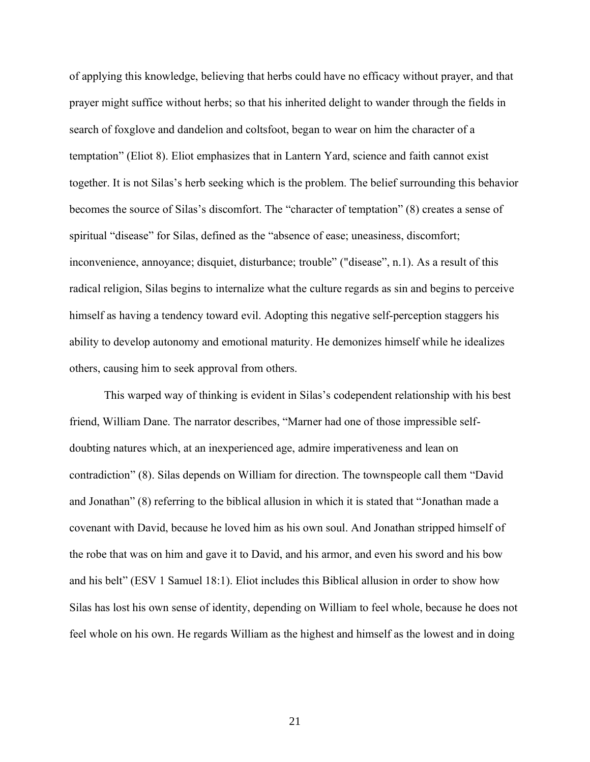of applying this knowledge, believing that herbs could have no efficacy without prayer, and that prayer might suffice without herbs; so that his inherited delight to wander through the fields in search of foxglove and dandelion and coltsfoot, began to wear on him the character of a temptation" (Eliot 8). Eliot emphasizes that in Lantern Yard, science and faith cannot exist together. It is not Silas's herb seeking which is the problem. The belief surrounding this behavior becomes the source of Silas's discomfort. The "character of temptation" (8) creates a sense of spiritual "disease" for Silas, defined as the "absence of ease; uneasiness, discomfort; inconvenience, annoyance; disquiet, disturbance; trouble" ("disease", n.1). As a result of this radical religion, Silas begins to internalize what the culture regards as sin and begins to perceive himself as having a tendency toward evil. Adopting this negative self-perception staggers his ability to develop autonomy and emotional maturity. He demonizes himself while he idealizes others, causing him to seek approval from others.

This warped way of thinking is evident in Silas's codependent relationship with his best friend, William Dane. The narrator describes, "Marner had one of those impressible selfdoubting natures which, at an inexperienced age, admire imperativeness and lean on contradiction" (8). Silas depends on William for direction. The townspeople call them "David and Jonathan" (8) referring to the biblical allusion in which it is stated that "Jonathan made a covenant with David, because he loved him as his own soul. And Jonathan stripped himself of the robe that was on him and gave it to David, and his armor, and even his sword and his bow and his belt" (ESV 1 Samuel 18:1). Eliot includes this Biblical allusion in order to show how Silas has lost his own sense of identity, depending on William to feel whole, because he does not feel whole on his own. He regards William as the highest and himself as the lowest and in doing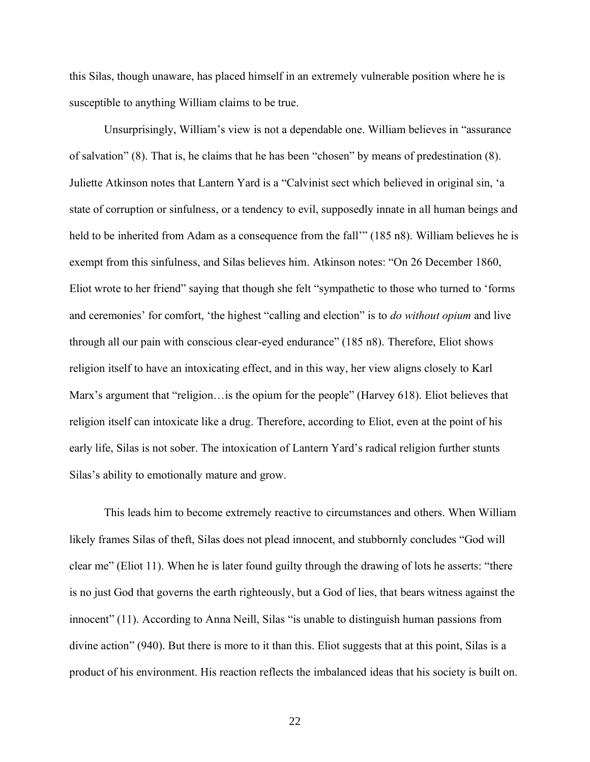this Silas, though unaware, has placed himself in an extremely vulnerable position where he is susceptible to anything William claims to be true.

Unsurprisingly, William's view is not a dependable one. William believes in "assurance of salvation" (8). That is, he claims that he has been "chosen" by means of predestination (8). Juliette Atkinson notes that Lantern Yard is a "Calvinist sect which believed in original sin, 'a state of corruption or sinfulness, or a tendency to evil, supposedly innate in all human beings and held to be inherited from Adam as a consequence from the fall'" (185 n8). William believes he is exempt from this sinfulness, and Silas believes him. Atkinson notes: "On 26 December 1860, Eliot wrote to her friend" saying that though she felt "sympathetic to those who turned to 'forms and ceremonies' for comfort, 'the highest "calling and election" is to *do without opium* and live through all our pain with conscious clear-eyed endurance" (185 n8). Therefore, Eliot shows religion itself to have an intoxicating effect, and in this way, her view aligns closely to Karl Marx's argument that "religion... is the opium for the people" (Harvey 618). Eliot believes that religion itself can intoxicate like a drug. Therefore, according to Eliot, even at the point of his early life, Silas is not sober. The intoxication of Lantern Yard's radical religion further stunts Silas's ability to emotionally mature and grow.

This leads him to become extremely reactive to circumstances and others. When William likely frames Silas of theft, Silas does not plead innocent, and stubbornly concludes "God will clear me" (Eliot 11). When he is later found guilty through the drawing of lots he asserts: "there is no just God that governs the earth righteously, but a God of lies, that bears witness against the innocent" (11). According to Anna Neill, Silas "is unable to distinguish human passions from divine action" (940). But there is more to it than this. Eliot suggests that at this point, Silas is a product of his environment. His reaction reflects the imbalanced ideas that his society is built on.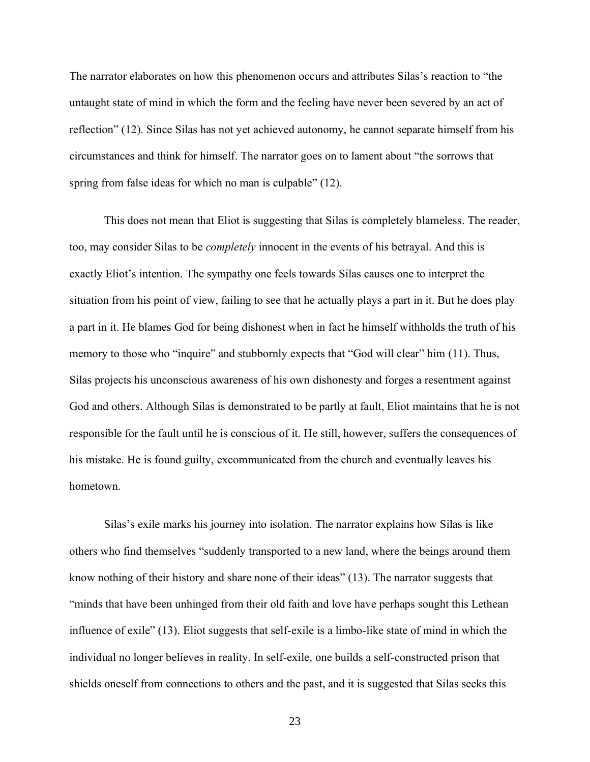The narrator elaborates on how this phenomenon occurs and attributes Silas's reaction to "the untaught state of mind in which the form and the feeling have never been severed by an act of reflection" (12). Since Silas has not yet achieved autonomy, he cannot separate himself from his circumstances and think for himself. The narrator goes on to lament about "the sorrows that spring from false ideas for which no man is culpable" (12).

This does not mean that Eliot is suggesting that Silas is completely blameless. The reader, too, may consider Silas to be *completely* innocent in the events of his betrayal. And this is exactly Eliot's intention. The sympathy one feels towards Silas causes one to interpret the situation from his point of view, failing to see that he actually plays a part in it. But he does play a part in it. He blames God for being dishonest when in fact he himself withholds the truth of his memory to those who "inquire" and stubbornly expects that "God will clear" him (11). Thus, Silas projects his unconscious awareness of his own dishonesty and forges a resentment against God and others. Although Silas is demonstrated to be partly at fault, Eliot maintains that he is not responsible for the fault until he is conscious of it. He still, however, suffers the consequences of his mistake. He is found guilty, excommunicated from the church and eventually leaves his hometown.

Silas's exile marks his journey into isolation. The narrator explains how Silas is like others who find themselves "suddenly transported to a new land, where the beings around them know nothing of their history and share none of their ideas" (13). The narrator suggests that "minds that have been unhinged from their old faith and love have perhaps sought this Lethean influence of exile" (13). Eliot suggests that self-exile is a limbo-like state of mind in which the individual no longer believes in reality. In self-exile, one builds a self-constructed prison that shields oneself from connections to others and the past, and it is suggested that Silas seeks this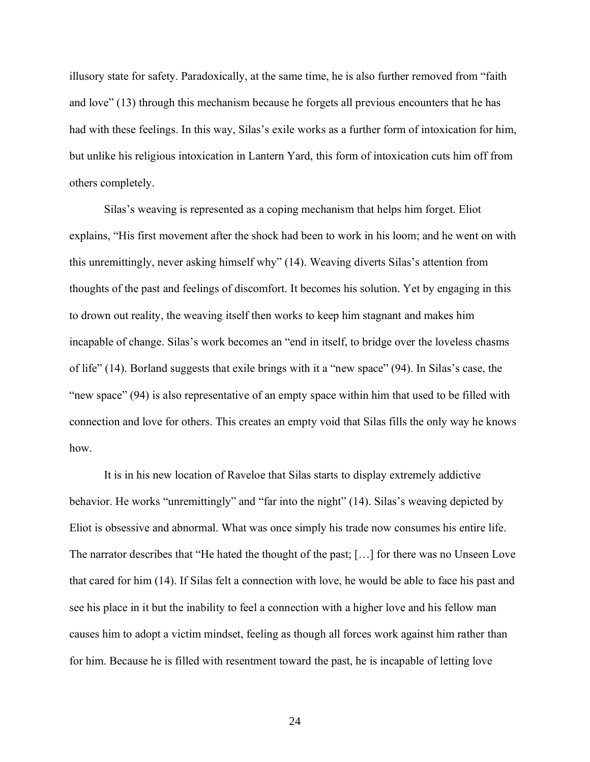illusory state for safety. Paradoxically, at the same time, he is also further removed from "faith and love" (13) through this mechanism because he forgets all previous encounters that he has had with these feelings. In this way, Silas's exile works as a further form of intoxication for him, but unlike his religious intoxication in Lantern Yard, this form of intoxication cuts him off from others completely.

Silas's weaving is represented as a coping mechanism that helps him forget. Eliot explains, "His first movement after the shock had been to work in his loom; and he went on with this unremittingly, never asking himself why" (14). Weaving diverts Silas's attention from thoughts of the past and feelings of discomfort. It becomes his solution. Yet by engaging in this to drown out reality, the weaving itself then works to keep him stagnant and makes him incapable of change. Silas's work becomes an "end in itself, to bridge over the loveless chasms of life" (14). Borland suggests that exile brings with it a "new space" (94). In Silas's case, the "new space" (94) is also representative of an empty space within him that used to be filled with connection and love for others. This creates an empty void that Silas fills the only way he knows how.

It is in his new location of Raveloe that Silas starts to display extremely addictive behavior. He works "unremittingly" and "far into the night" (14). Silas's weaving depicted by Eliot is obsessive and abnormal. What was once simply his trade now consumes his entire life. The narrator describes that "He hated the thought of the past; […] for there was no Unseen Love that cared for him (14). If Silas felt a connection with love, he would be able to face his past and see his place in it but the inability to feel a connection with a higher love and his fellow man causes him to adopt a victim mindset, feeling as though all forces work against him rather than for him. Because he is filled with resentment toward the past, he is incapable of letting love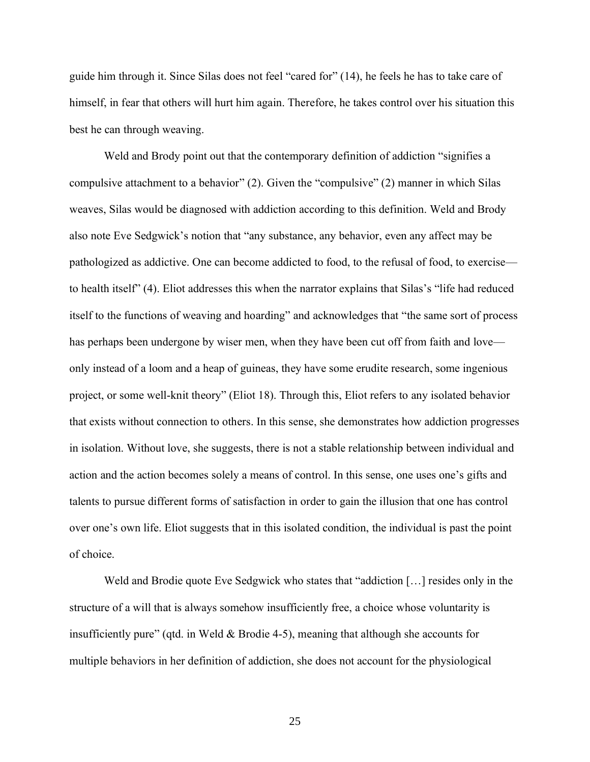guide him through it. Since Silas does not feel "cared for" (14), he feels he has to take care of himself, in fear that others will hurt him again. Therefore, he takes control over his situation this best he can through weaving.

Weld and Brody point out that the contemporary definition of addiction "signifies a compulsive attachment to a behavior" (2). Given the "compulsive" (2) manner in which Silas weaves, Silas would be diagnosed with addiction according to this definition. Weld and Brody also note Eve Sedgwick's notion that "any substance, any behavior, even any affect may be pathologized as addictive. One can become addicted to food, to the refusal of food, to exercise to health itself" (4). Eliot addresses this when the narrator explains that Silas's "life had reduced itself to the functions of weaving and hoarding" and acknowledges that "the same sort of process has perhaps been undergone by wiser men, when they have been cut off from faith and love only instead of a loom and a heap of guineas, they have some erudite research, some ingenious project, or some well-knit theory" (Eliot 18). Through this, Eliot refers to any isolated behavior that exists without connection to others. In this sense, she demonstrates how addiction progresses in isolation. Without love, she suggests, there is not a stable relationship between individual and action and the action becomes solely a means of control. In this sense, one uses one's gifts and talents to pursue different forms of satisfaction in order to gain the illusion that one has control over one's own life. Eliot suggests that in this isolated condition, the individual is past the point of choice.

Weld and Brodie quote Eve Sedgwick who states that "addiction [...] resides only in the structure of a will that is always somehow insufficiently free, a choice whose voluntarity is insufficiently pure" (qtd. in Weld & Brodie 4-5), meaning that although she accounts for multiple behaviors in her definition of addiction, she does not account for the physiological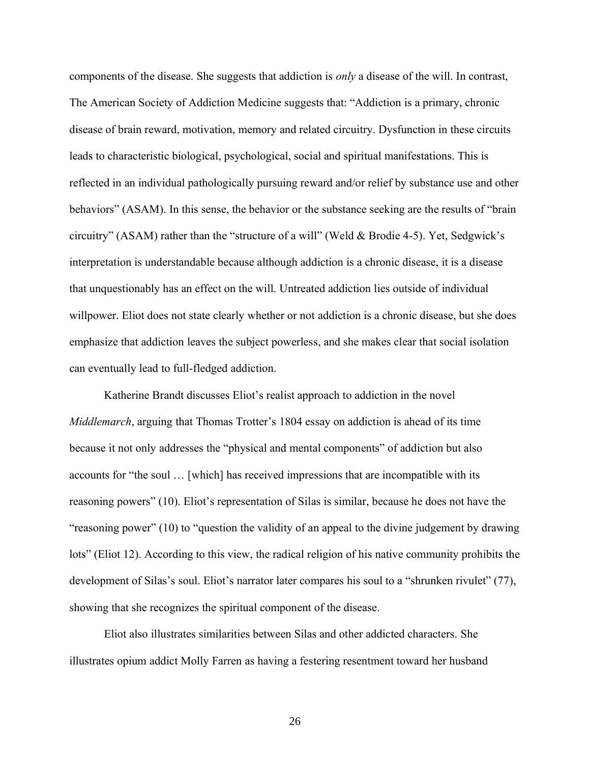components of the disease. She suggests that addiction is *only* a disease of the will. In contrast, The American Society of Addiction Medicine suggests that: "Addiction is a primary, chronic disease of brain reward, motivation, memory and related circuitry. Dysfunction in these circuits leads to characteristic biological, psychological, social and spiritual manifestations. This is reflected in an individual pathologically pursuing reward and/or relief by substance use and other behaviors" (ASAM). In this sense, the behavior or the substance seeking are the results of "brain circuitry" (ASAM) rather than the "structure of a will" (Weld & Brodie 4-5). Yet, Sedgwick's interpretation is understandable because although addiction is a chronic disease, it is a disease that unquestionably has an effect on the will. Untreated addiction lies outside of individual willpower. Eliot does not state clearly whether or not addiction is a chronic disease, but she does emphasize that addiction leaves the subject powerless, and she makes clear that social isolation can eventually lead to full-fledged addiction.

Katherine Brandt discusses Eliot's realist approach to addiction in the novel *Middlemarch*, arguing that Thomas Trotter's 1804 essay on addiction is ahead of its time because it not only addresses the "physical and mental components" of addiction but also accounts for "the soul … [which] has received impressions that are incompatible with its reasoning powers" (10). Eliot's representation of Silas is similar, because he does not have the "reasoning power" (10) to "question the validity of an appeal to the divine judgement by drawing lots" (Eliot 12). According to this view, the radical religion of his native community prohibits the development of Silas's soul. Eliot's narrator later compares his soul to a "shrunken rivulet" (77), showing that she recognizes the spiritual component of the disease.

Eliot also illustrates similarities between Silas and other addicted characters. She illustrates opium addict Molly Farren as having a festering resentment toward her husband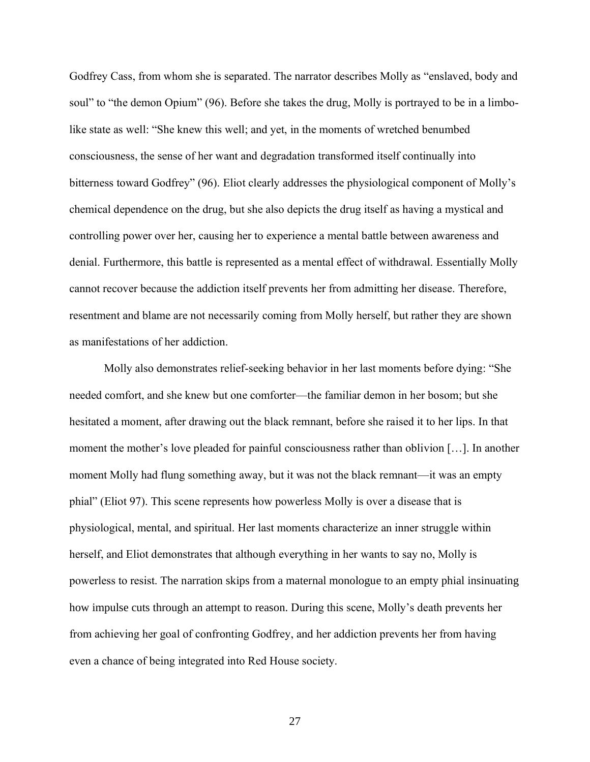Godfrey Cass, from whom she is separated. The narrator describes Molly as "enslaved, body and soul" to "the demon Opium" (96). Before she takes the drug, Molly is portrayed to be in a limbolike state as well: "She knew this well; and yet, in the moments of wretched benumbed consciousness, the sense of her want and degradation transformed itself continually into bitterness toward Godfrey" (96). Eliot clearly addresses the physiological component of Molly's chemical dependence on the drug, but she also depicts the drug itself as having a mystical and controlling power over her, causing her to experience a mental battle between awareness and denial. Furthermore, this battle is represented as a mental effect of withdrawal. Essentially Molly cannot recover because the addiction itself prevents her from admitting her disease. Therefore, resentment and blame are not necessarily coming from Molly herself, but rather they are shown as manifestations of her addiction.

Molly also demonstrates relief-seeking behavior in her last moments before dying: "She needed comfort, and she knew but one comforter—the familiar demon in her bosom; but she hesitated a moment, after drawing out the black remnant, before she raised it to her lips. In that moment the mother's love pleaded for painful consciousness rather than oblivion […]. In another moment Molly had flung something away, but it was not the black remnant—it was an empty phial" (Eliot 97). This scene represents how powerless Molly is over a disease that is physiological, mental, and spiritual. Her last moments characterize an inner struggle within herself, and Eliot demonstrates that although everything in her wants to say no, Molly is powerless to resist. The narration skips from a maternal monologue to an empty phial insinuating how impulse cuts through an attempt to reason. During this scene, Molly's death prevents her from achieving her goal of confronting Godfrey, and her addiction prevents her from having even a chance of being integrated into Red House society.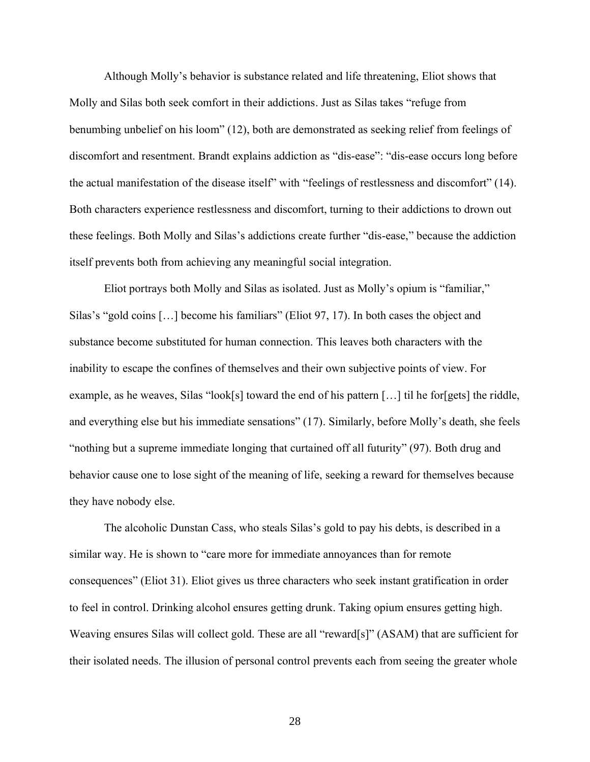Although Molly's behavior is substance related and life threatening, Eliot shows that Molly and Silas both seek comfort in their addictions. Just as Silas takes "refuge from benumbing unbelief on his loom" (12), both are demonstrated as seeking relief from feelings of discomfort and resentment. Brandt explains addiction as "dis-ease": "dis-ease occurs long before the actual manifestation of the disease itself" with "feelings of restlessness and discomfort" (14). Both characters experience restlessness and discomfort, turning to their addictions to drown out these feelings. Both Molly and Silas's addictions create further "dis-ease," because the addiction itself prevents both from achieving any meaningful social integration.

Eliot portrays both Molly and Silas as isolated. Just as Molly's opium is "familiar," Silas's "gold coins [...] become his familiars" (Eliot 97, 17). In both cases the object and substance become substituted for human connection. This leaves both characters with the inability to escape the confines of themselves and their own subjective points of view. For example, as he weaves, Silas "look[s] toward the end of his pattern […] til he for[gets] the riddle, and everything else but his immediate sensations" (17). Similarly, before Molly's death, she feels "nothing but a supreme immediate longing that curtained off all futurity" (97). Both drug and behavior cause one to lose sight of the meaning of life, seeking a reward for themselves because they have nobody else.

The alcoholic Dunstan Cass, who steals Silas's gold to pay his debts, is described in a similar way. He is shown to "care more for immediate annoyances than for remote consequences" (Eliot 31). Eliot gives us three characters who seek instant gratification in order to feel in control. Drinking alcohol ensures getting drunk. Taking opium ensures getting high. Weaving ensures Silas will collect gold. These are all "reward[s]" (ASAM) that are sufficient for their isolated needs. The illusion of personal control prevents each from seeing the greater whole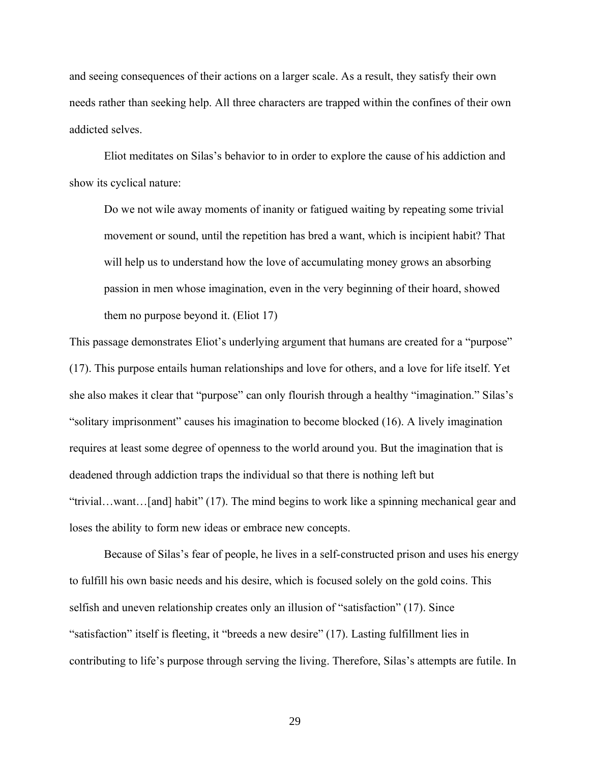and seeing consequences of their actions on a larger scale. As a result, they satisfy their own needs rather than seeking help. All three characters are trapped within the confines of their own addicted selves.

Eliot meditates on Silas's behavior to in order to explore the cause of his addiction and show its cyclical nature:

Do we not wile away moments of inanity or fatigued waiting by repeating some trivial movement or sound, until the repetition has bred a want, which is incipient habit? That will help us to understand how the love of accumulating money grows an absorbing passion in men whose imagination, even in the very beginning of their hoard, showed them no purpose beyond it. (Eliot 17)

This passage demonstrates Eliot's underlying argument that humans are created for a "purpose" (17). This purpose entails human relationships and love for others, and a love for life itself. Yet she also makes it clear that "purpose" can only flourish through a healthy "imagination." Silas's "solitary imprisonment" causes his imagination to become blocked (16). A lively imagination requires at least some degree of openness to the world around you. But the imagination that is deadened through addiction traps the individual so that there is nothing left but "trivial…want…[and] habit" (17). The mind begins to work like a spinning mechanical gear and loses the ability to form new ideas or embrace new concepts.

Because of Silas's fear of people, he lives in a self-constructed prison and uses his energy to fulfill his own basic needs and his desire, which is focused solely on the gold coins. This selfish and uneven relationship creates only an illusion of "satisfaction" (17). Since "satisfaction" itself is fleeting, it "breeds a new desire" (17). Lasting fulfillment lies in contributing to life's purpose through serving the living. Therefore, Silas's attempts are futile. In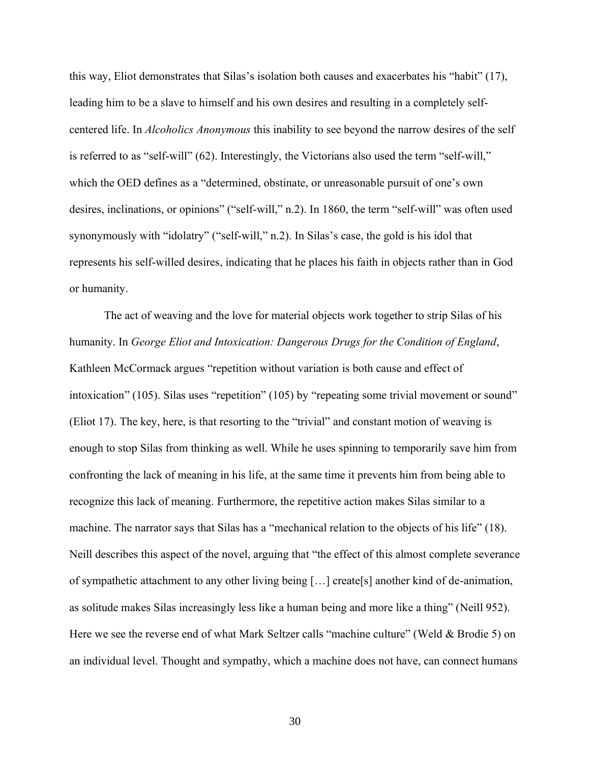this way, Eliot demonstrates that Silas's isolation both causes and exacerbates his "habit" (17), leading him to be a slave to himself and his own desires and resulting in a completely selfcentered life. In *Alcoholics Anonymous* this inability to see beyond the narrow desires of the self is referred to as "self-will" (62). Interestingly, the Victorians also used the term "self-will," which the OED defines as a "determined, obstinate, or unreasonable pursuit of one's own desires, inclinations, or opinions" ("self-will," n.2). In 1860, the term "self-will" was often used synonymously with "idolatry" ("self-will," n.2). In Silas's case, the gold is his idol that represents his self-willed desires, indicating that he places his faith in objects rather than in God or humanity.

The act of weaving and the love for material objects work together to strip Silas of his humanity. In *George Eliot and Intoxication: Dangerous Drugs for the Condition of England*, Kathleen McCormack argues "repetition without variation is both cause and effect of intoxication" (105). Silas uses "repetition" (105) by "repeating some trivial movement or sound" (Eliot 17). The key, here, is that resorting to the "trivial" and constant motion of weaving is enough to stop Silas from thinking as well. While he uses spinning to temporarily save him from confronting the lack of meaning in his life, at the same time it prevents him from being able to recognize this lack of meaning. Furthermore, the repetitive action makes Silas similar to a machine. The narrator says that Silas has a "mechanical relation to the objects of his life" (18). Neill describes this aspect of the novel, arguing that "the effect of this almost complete severance of sympathetic attachment to any other living being […] create[s] another kind of de-animation, as solitude makes Silas increasingly less like a human being and more like a thing" (Neill 952). Here we see the reverse end of what Mark Seltzer calls "machine culture" (Weld & Brodie 5) on an individual level. Thought and sympathy, which a machine does not have, can connect humans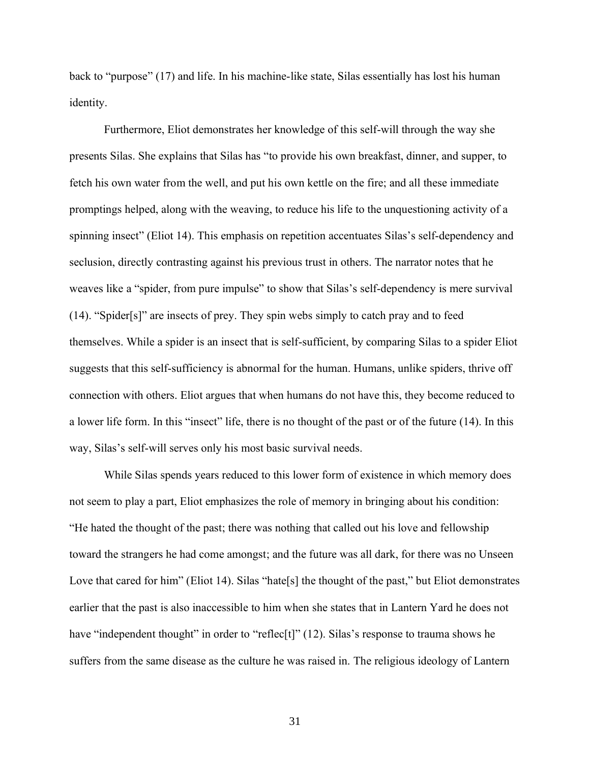back to "purpose" (17) and life. In his machine-like state, Silas essentially has lost his human identity.

Furthermore, Eliot demonstrates her knowledge of this self-will through the way she presents Silas. She explains that Silas has "to provide his own breakfast, dinner, and supper, to fetch his own water from the well, and put his own kettle on the fire; and all these immediate promptings helped, along with the weaving, to reduce his life to the unquestioning activity of a spinning insect" (Eliot 14). This emphasis on repetition accentuates Silas's self-dependency and seclusion, directly contrasting against his previous trust in others. The narrator notes that he weaves like a "spider, from pure impulse" to show that Silas's self-dependency is mere survival (14). "Spider[s]" are insects of prey. They spin webs simply to catch pray and to feed themselves. While a spider is an insect that is self-sufficient, by comparing Silas to a spider Eliot suggests that this self-sufficiency is abnormal for the human. Humans, unlike spiders, thrive off connection with others. Eliot argues that when humans do not have this, they become reduced to a lower life form. In this "insect" life, there is no thought of the past or of the future (14). In this way, Silas's self-will serves only his most basic survival needs.

While Silas spends years reduced to this lower form of existence in which memory does not seem to play a part, Eliot emphasizes the role of memory in bringing about his condition: "He hated the thought of the past; there was nothing that called out his love and fellowship toward the strangers he had come amongst; and the future was all dark, for there was no Unseen Love that cared for him" (Eliot 14). Silas "hate<sup>[5]</sup> the thought of the past," but Eliot demonstrates earlier that the past is also inaccessible to him when she states that in Lantern Yard he does not have "independent thought" in order to "reflec<sup>[t]"</sup> (12). Silas's response to trauma shows he suffers from the same disease as the culture he was raised in. The religious ideology of Lantern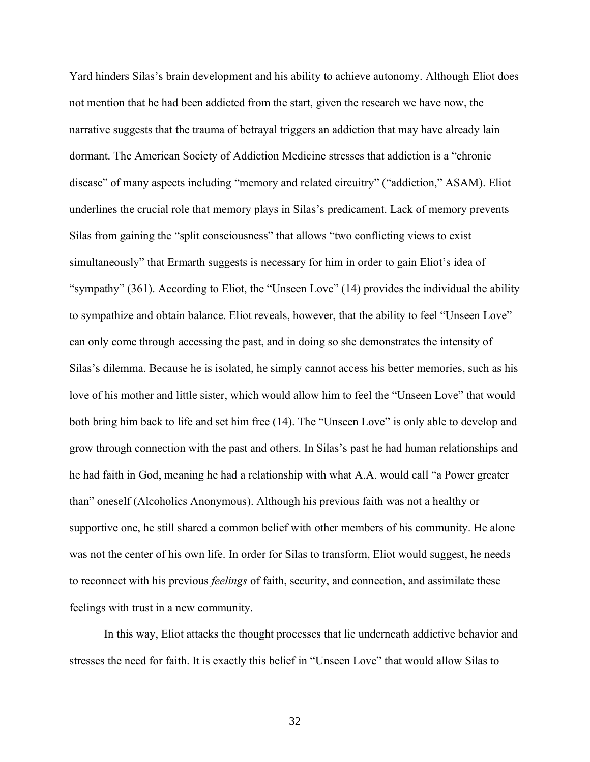Yard hinders Silas's brain development and his ability to achieve autonomy. Although Eliot does not mention that he had been addicted from the start, given the research we have now, the narrative suggests that the trauma of betrayal triggers an addiction that may have already lain dormant. The American Society of Addiction Medicine stresses that addiction is a "chronic disease" of many aspects including "memory and related circuitry" ("addiction," ASAM). Eliot underlines the crucial role that memory plays in Silas's predicament. Lack of memory prevents Silas from gaining the "split consciousness" that allows "two conflicting views to exist simultaneously" that Ermarth suggests is necessary for him in order to gain Eliot's idea of "sympathy" (361). According to Eliot, the "Unseen Love" (14) provides the individual the ability to sympathize and obtain balance. Eliot reveals, however, that the ability to feel "Unseen Love" can only come through accessing the past, and in doing so she demonstrates the intensity of Silas's dilemma. Because he is isolated, he simply cannot access his better memories, such as his love of his mother and little sister, which would allow him to feel the "Unseen Love" that would both bring him back to life and set him free (14). The "Unseen Love" is only able to develop and grow through connection with the past and others. In Silas's past he had human relationships and he had faith in God, meaning he had a relationship with what A.A. would call "a Power greater than" oneself (Alcoholics Anonymous). Although his previous faith was not a healthy or supportive one, he still shared a common belief with other members of his community. He alone was not the center of his own life. In order for Silas to transform, Eliot would suggest, he needs to reconnect with his previous *feelings* of faith, security, and connection, and assimilate these feelings with trust in a new community.

In this way, Eliot attacks the thought processes that lie underneath addictive behavior and stresses the need for faith. It is exactly this belief in "Unseen Love" that would allow Silas to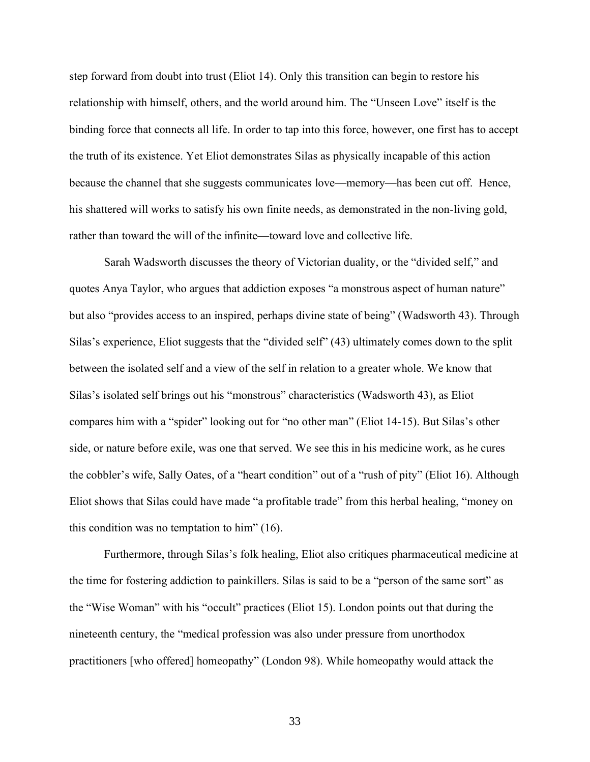step forward from doubt into trust (Eliot 14). Only this transition can begin to restore his relationship with himself, others, and the world around him. The "Unseen Love" itself is the binding force that connects all life. In order to tap into this force, however, one first has to accept the truth of its existence. Yet Eliot demonstrates Silas as physically incapable of this action because the channel that she suggests communicates love—memory—has been cut off. Hence, his shattered will works to satisfy his own finite needs, as demonstrated in the non-living gold, rather than toward the will of the infinite—toward love and collective life.

Sarah Wadsworth discusses the theory of Victorian duality, or the "divided self," and quotes Anya Taylor, who argues that addiction exposes "a monstrous aspect of human nature" but also "provides access to an inspired, perhaps divine state of being" (Wadsworth 43). Through Silas's experience, Eliot suggests that the "divided self" (43) ultimately comes down to the split between the isolated self and a view of the self in relation to a greater whole. We know that Silas's isolated self brings out his "monstrous" characteristics (Wadsworth 43), as Eliot compares him with a "spider" looking out for "no other man" (Eliot 14-15). But Silas's other side, or nature before exile, was one that served. We see this in his medicine work, as he cures the cobbler's wife, Sally Oates, of a "heart condition" out of a "rush of pity" (Eliot 16). Although Eliot shows that Silas could have made "a profitable trade" from this herbal healing, "money on this condition was no temptation to him" (16).

Furthermore, through Silas's folk healing, Eliot also critiques pharmaceutical medicine at the time for fostering addiction to painkillers. Silas is said to be a "person of the same sort" as the "Wise Woman" with his "occult" practices (Eliot 15). London points out that during the nineteenth century, the "medical profession was also under pressure from unorthodox practitioners [who offered] homeopathy" (London 98). While homeopathy would attack the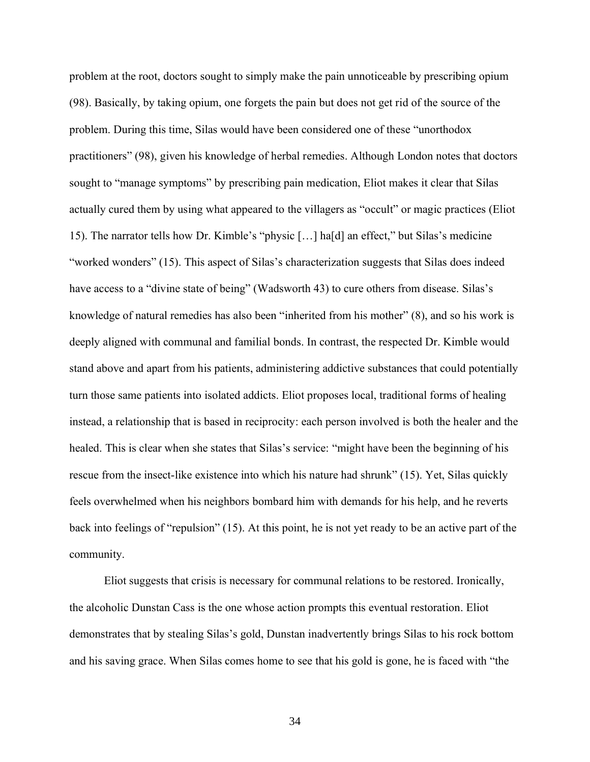problem at the root, doctors sought to simply make the pain unnoticeable by prescribing opium (98). Basically, by taking opium, one forgets the pain but does not get rid of the source of the problem. During this time, Silas would have been considered one of these "unorthodox practitioners" (98), given his knowledge of herbal remedies. Although London notes that doctors sought to "manage symptoms" by prescribing pain medication, Eliot makes it clear that Silas actually cured them by using what appeared to the villagers as "occult" or magic practices (Eliot 15). The narrator tells how Dr. Kimble's "physic […] ha[d] an effect," but Silas's medicine "worked wonders" (15). This aspect of Silas's characterization suggests that Silas does indeed have access to a "divine state of being" (Wadsworth 43) to cure others from disease. Silas's knowledge of natural remedies has also been "inherited from his mother" (8), and so his work is deeply aligned with communal and familial bonds. In contrast, the respected Dr. Kimble would stand above and apart from his patients, administering addictive substances that could potentially turn those same patients into isolated addicts. Eliot proposes local, traditional forms of healing instead, a relationship that is based in reciprocity: each person involved is both the healer and the healed. This is clear when she states that Silas's service: "might have been the beginning of his rescue from the insect-like existence into which his nature had shrunk" (15). Yet, Silas quickly feels overwhelmed when his neighbors bombard him with demands for his help, and he reverts back into feelings of "repulsion" (15). At this point, he is not yet ready to be an active part of the community.

Eliot suggests that crisis is necessary for communal relations to be restored. Ironically, the alcoholic Dunstan Cass is the one whose action prompts this eventual restoration. Eliot demonstrates that by stealing Silas's gold, Dunstan inadvertently brings Silas to his rock bottom and his saving grace. When Silas comes home to see that his gold is gone, he is faced with "the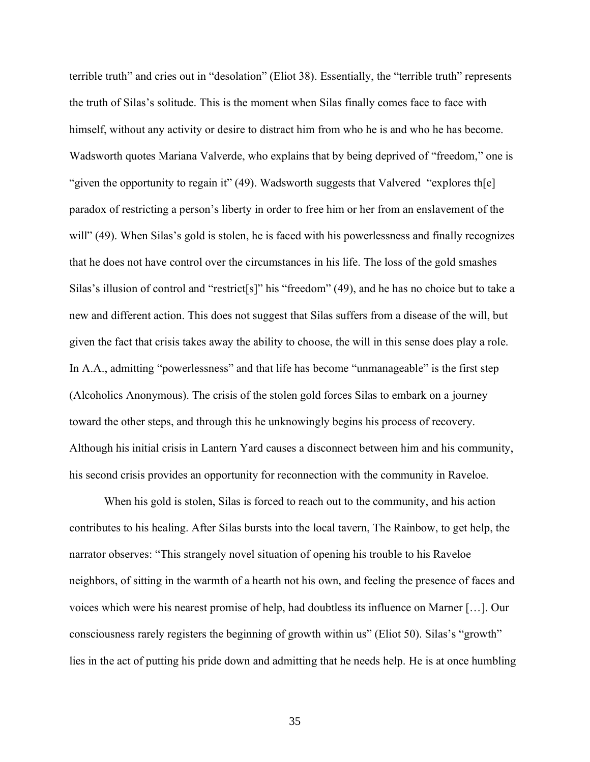terrible truth" and cries out in "desolation" (Eliot 38). Essentially, the "terrible truth" represents the truth of Silas's solitude. This is the moment when Silas finally comes face to face with himself, without any activity or desire to distract him from who he is and who he has become. Wadsworth quotes Mariana Valverde, who explains that by being deprived of "freedom," one is "given the opportunity to regain it" (49). Wadsworth suggests that Valvered "explores the paradox of restricting a person's liberty in order to free him or her from an enslavement of the will" (49). When Silas's gold is stolen, he is faced with his powerlessness and finally recognizes that he does not have control over the circumstances in his life. The loss of the gold smashes Silas's illusion of control and "restrict<sup>[s]"</sup> his "freedom" (49), and he has no choice but to take a new and different action. This does not suggest that Silas suffers from a disease of the will, but given the fact that crisis takes away the ability to choose, the will in this sense does play a role. In A.A., admitting "powerlessness" and that life has become "unmanageable" is the first step (Alcoholics Anonymous). The crisis of the stolen gold forces Silas to embark on a journey toward the other steps, and through this he unknowingly begins his process of recovery. Although his initial crisis in Lantern Yard causes a disconnect between him and his community, his second crisis provides an opportunity for reconnection with the community in Raveloe.

When his gold is stolen, Silas is forced to reach out to the community, and his action contributes to his healing. After Silas bursts into the local tavern, The Rainbow, to get help, the narrator observes: "This strangely novel situation of opening his trouble to his Raveloe neighbors, of sitting in the warmth of a hearth not his own, and feeling the presence of faces and voices which were his nearest promise of help, had doubtless its influence on Marner […]. Our consciousness rarely registers the beginning of growth within us" (Eliot 50). Silas's "growth" lies in the act of putting his pride down and admitting that he needs help. He is at once humbling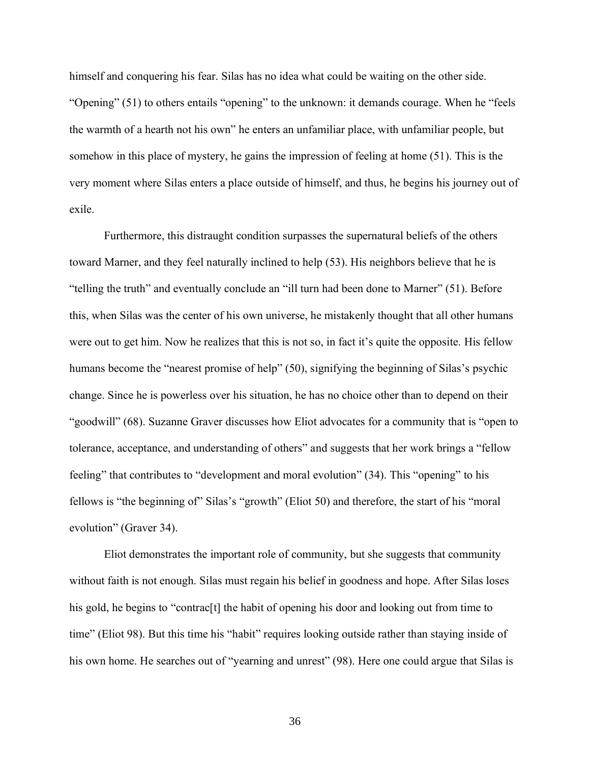himself and conquering his fear. Silas has no idea what could be waiting on the other side. "Opening" (51) to others entails "opening" to the unknown: it demands courage. When he "feels the warmth of a hearth not his own" he enters an unfamiliar place, with unfamiliar people, but somehow in this place of mystery, he gains the impression of feeling at home (51). This is the very moment where Silas enters a place outside of himself, and thus, he begins his journey out of exile.

Furthermore, this distraught condition surpasses the supernatural beliefs of the others toward Marner, and they feel naturally inclined to help (53). His neighbors believe that he is "telling the truth" and eventually conclude an "ill turn had been done to Marner" (51). Before this, when Silas was the center of his own universe, he mistakenly thought that all other humans were out to get him. Now he realizes that this is not so, in fact it's quite the opposite. His fellow humans become the "nearest promise of help" (50), signifying the beginning of Silas's psychic change. Since he is powerless over his situation, he has no choice other than to depend on their "goodwill" (68). Suzanne Graver discusses how Eliot advocates for a community that is "open to tolerance, acceptance, and understanding of others" and suggests that her work brings a "fellow feeling" that contributes to "development and moral evolution" (34). This "opening" to his fellows is "the beginning of" Silas's "growth" (Eliot 50) and therefore, the start of his "moral evolution" (Graver 34).

Eliot demonstrates the important role of community, but she suggests that community without faith is not enough. Silas must regain his belief in goodness and hope. After Silas loses his gold, he begins to "contrac<sup>[t]</sup> the habit of opening his door and looking out from time to time" (Eliot 98). But this time his "habit" requires looking outside rather than staying inside of his own home. He searches out of "yearning and unrest" (98). Here one could argue that Silas is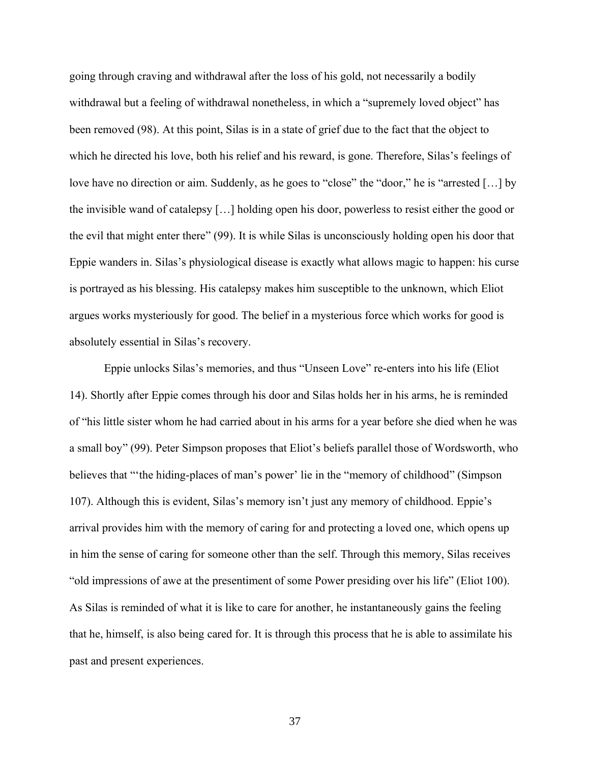going through craving and withdrawal after the loss of his gold, not necessarily a bodily withdrawal but a feeling of withdrawal nonetheless, in which a "supremely loved object" has been removed (98). At this point, Silas is in a state of grief due to the fact that the object to which he directed his love, both his relief and his reward, is gone. Therefore, Silas's feelings of love have no direction or aim. Suddenly, as he goes to "close" the "door," he is "arrested […] by the invisible wand of catalepsy […] holding open his door, powerless to resist either the good or the evil that might enter there" (99). It is while Silas is unconsciously holding open his door that Eppie wanders in. Silas's physiological disease is exactly what allows magic to happen: his curse is portrayed as his blessing. His catalepsy makes him susceptible to the unknown, which Eliot argues works mysteriously for good. The belief in a mysterious force which works for good is absolutely essential in Silas's recovery.

Eppie unlocks Silas's memories, and thus "Unseen Love" re-enters into his life (Eliot 14). Shortly after Eppie comes through his door and Silas holds her in his arms, he is reminded of "his little sister whom he had carried about in his arms for a year before she died when he was a small boy" (99). Peter Simpson proposes that Eliot's beliefs parallel those of Wordsworth, who believes that "'the hiding-places of man's power' lie in the "memory of childhood" (Simpson 107). Although this is evident, Silas's memory isn't just any memory of childhood. Eppie's arrival provides him with the memory of caring for and protecting a loved one, which opens up in him the sense of caring for someone other than the self. Through this memory, Silas receives "old impressions of awe at the presentiment of some Power presiding over his life" (Eliot 100). As Silas is reminded of what it is like to care for another, he instantaneously gains the feeling that he, himself, is also being cared for. It is through this process that he is able to assimilate his past and present experiences.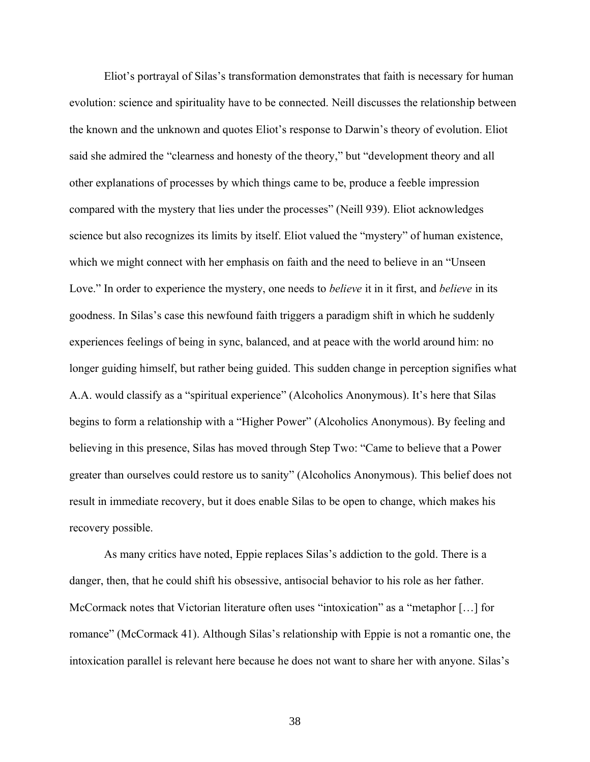Eliot's portrayal of Silas's transformation demonstrates that faith is necessary for human evolution: science and spirituality have to be connected. Neill discusses the relationship between the known and the unknown and quotes Eliot's response to Darwin's theory of evolution. Eliot said she admired the "clearness and honesty of the theory," but "development theory and all other explanations of processes by which things came to be, produce a feeble impression compared with the mystery that lies under the processes" (Neill 939). Eliot acknowledges science but also recognizes its limits by itself. Eliot valued the "mystery" of human existence, which we might connect with her emphasis on faith and the need to believe in an "Unseen" Love." In order to experience the mystery, one needs to *believe* it in it first, and *believe* in its goodness. In Silas's case this newfound faith triggers a paradigm shift in which he suddenly experiences feelings of being in sync, balanced, and at peace with the world around him: no longer guiding himself, but rather being guided. This sudden change in perception signifies what A.A. would classify as a "spiritual experience" (Alcoholics Anonymous). It's here that Silas begins to form a relationship with a "Higher Power" (Alcoholics Anonymous). By feeling and believing in this presence, Silas has moved through Step Two: "Came to believe that a Power greater than ourselves could restore us to sanity" (Alcoholics Anonymous). This belief does not result in immediate recovery, but it does enable Silas to be open to change, which makes his recovery possible.

As many critics have noted, Eppie replaces Silas's addiction to the gold. There is a danger, then, that he could shift his obsessive, antisocial behavior to his role as her father. McCormack notes that Victorian literature often uses "intoxication" as a "metaphor [...] for romance" (McCormack 41). Although Silas's relationship with Eppie is not a romantic one, the intoxication parallel is relevant here because he does not want to share her with anyone. Silas's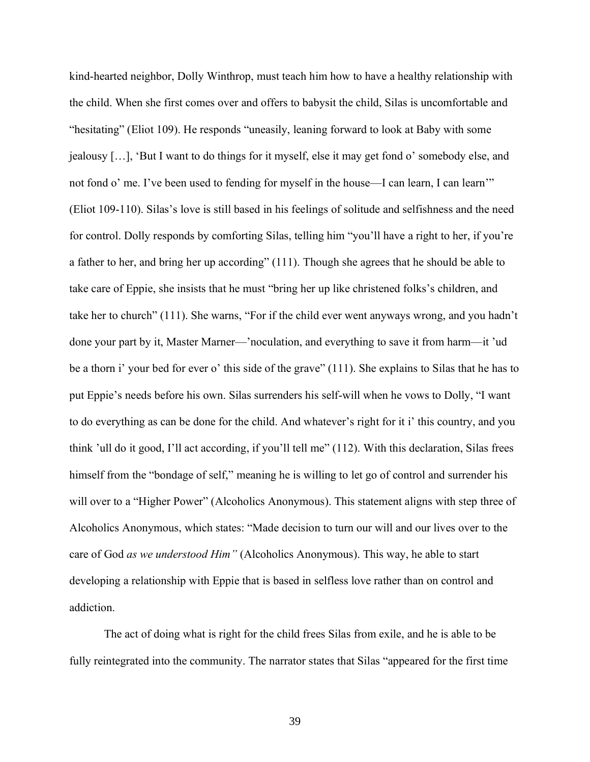kind-hearted neighbor, Dolly Winthrop, must teach him how to have a healthy relationship with the child. When she first comes over and offers to babysit the child, Silas is uncomfortable and "hesitating" (Eliot 109). He responds "uneasily, leaning forward to look at Baby with some jealousy […], 'But I want to do things for it myself, else it may get fond o' somebody else, and not fond o' me. I've been used to fending for myself in the house—I can learn, I can learn'" (Eliot 109-110). Silas's love is still based in his feelings of solitude and selfishness and the need for control. Dolly responds by comforting Silas, telling him "you'll have a right to her, if you're a father to her, and bring her up according" (111). Though she agrees that he should be able to take care of Eppie, she insists that he must "bring her up like christened folks's children, and take her to church" (111). She warns, "For if the child ever went anyways wrong, and you hadn't done your part by it, Master Marner—'noculation, and everything to save it from harm—it 'ud be a thorn i' your bed for ever o' this side of the grave" (111). She explains to Silas that he has to put Eppie's needs before his own. Silas surrenders his self-will when he vows to Dolly, "I want to do everything as can be done for the child. And whatever's right for it i' this country, and you think 'ull do it good, I'll act according, if you'll tell me" (112). With this declaration, Silas frees himself from the "bondage of self," meaning he is willing to let go of control and surrender his will over to a "Higher Power" (Alcoholics Anonymous). This statement aligns with step three of Alcoholics Anonymous, which states: "Made decision to turn our will and our lives over to the care of God *as we understood Him"* (Alcoholics Anonymous). This way, he able to start developing a relationship with Eppie that is based in selfless love rather than on control and addiction.

The act of doing what is right for the child frees Silas from exile, and he is able to be fully reintegrated into the community. The narrator states that Silas "appeared for the first time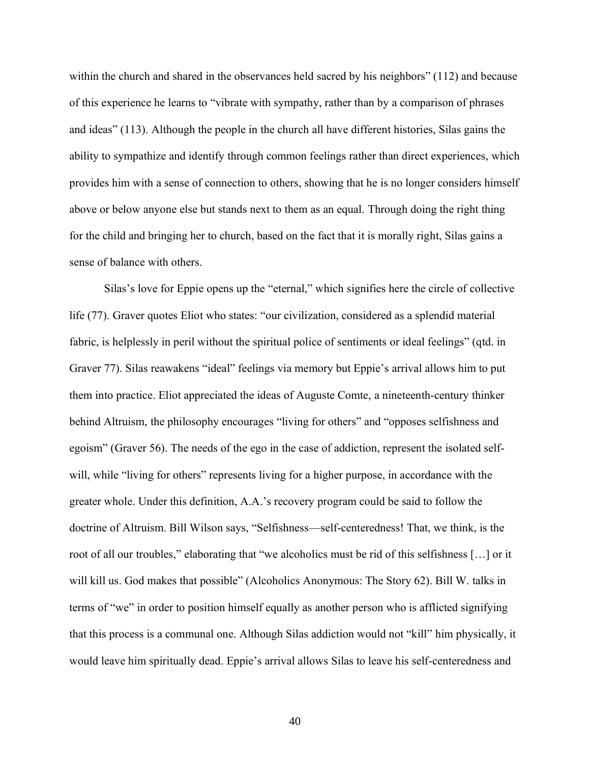within the church and shared in the observances held sacred by his neighbors" (112) and because of this experience he learns to "vibrate with sympathy, rather than by a comparison of phrases and ideas" (113). Although the people in the church all have different histories, Silas gains the ability to sympathize and identify through common feelings rather than direct experiences, which provides him with a sense of connection to others, showing that he is no longer considers himself above or below anyone else but stands next to them as an equal. Through doing the right thing for the child and bringing her to church, based on the fact that it is morally right, Silas gains a sense of balance with others.

Silas's love for Eppie opens up the "eternal," which signifies here the circle of collective life (77). Graver quotes Eliot who states: "our civilization, considered as a splendid material fabric, is helplessly in peril without the spiritual police of sentiments or ideal feelings" (qtd. in Graver 77). Silas reawakens "ideal" feelings via memory but Eppie's arrival allows him to put them into practice. Eliot appreciated the ideas of Auguste Comte, a nineteenth-century thinker behind Altruism, the philosophy encourages "living for others" and "opposes selfishness and egoism" (Graver 56). The needs of the ego in the case of addiction, represent the isolated selfwill, while "living for others" represents living for a higher purpose, in accordance with the greater whole. Under this definition, A.A.'s recovery program could be said to follow the doctrine of Altruism. Bill Wilson says, "Selfishness—self-centeredness! That, we think, is the root of all our troubles," elaborating that "we alcoholics must be rid of this selfishness […] or it will kill us. God makes that possible" (Alcoholics Anonymous: The Story 62). Bill W. talks in terms of "we" in order to position himself equally as another person who is afflicted signifying that this process is a communal one. Although Silas addiction would not "kill" him physically, it would leave him spiritually dead. Eppie's arrival allows Silas to leave his self-centeredness and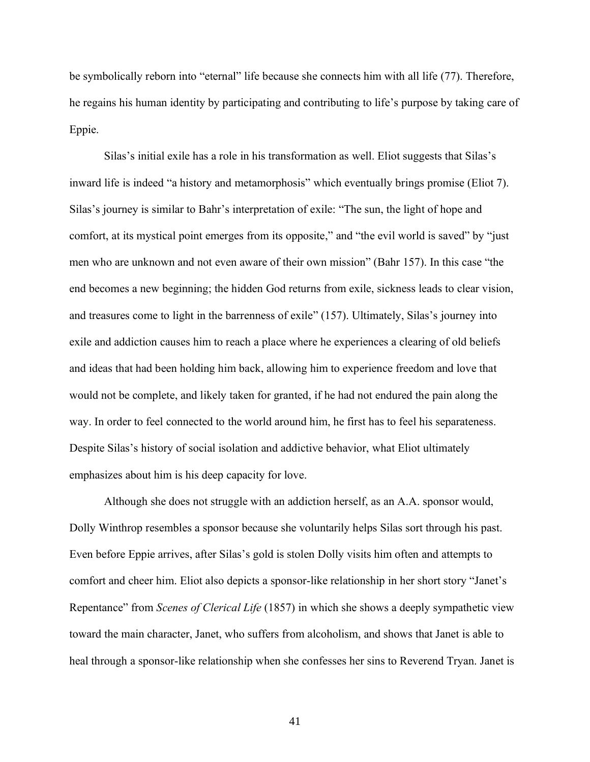be symbolically reborn into "eternal" life because she connects him with all life (77). Therefore, he regains his human identity by participating and contributing to life's purpose by taking care of Eppie.

Silas's initial exile has a role in his transformation as well. Eliot suggests that Silas's inward life is indeed "a history and metamorphosis" which eventually brings promise (Eliot 7). Silas's journey is similar to Bahr's interpretation of exile: "The sun, the light of hope and comfort, at its mystical point emerges from its opposite," and "the evil world is saved" by "just men who are unknown and not even aware of their own mission" (Bahr 157). In this case "the end becomes a new beginning; the hidden God returns from exile, sickness leads to clear vision, and treasures come to light in the barrenness of exile" (157). Ultimately, Silas's journey into exile and addiction causes him to reach a place where he experiences a clearing of old beliefs and ideas that had been holding him back, allowing him to experience freedom and love that would not be complete, and likely taken for granted, if he had not endured the pain along the way. In order to feel connected to the world around him, he first has to feel his separateness. Despite Silas's history of social isolation and addictive behavior, what Eliot ultimately emphasizes about him is his deep capacity for love.

Although she does not struggle with an addiction herself, as an A.A. sponsor would, Dolly Winthrop resembles a sponsor because she voluntarily helps Silas sort through his past. Even before Eppie arrives, after Silas's gold is stolen Dolly visits him often and attempts to comfort and cheer him. Eliot also depicts a sponsor-like relationship in her short story "Janet's Repentance" from *Scenes of Clerical Life* (1857) in which she shows a deeply sympathetic view toward the main character, Janet, who suffers from alcoholism, and shows that Janet is able to heal through a sponsor-like relationship when she confesses her sins to Reverend Tryan. Janet is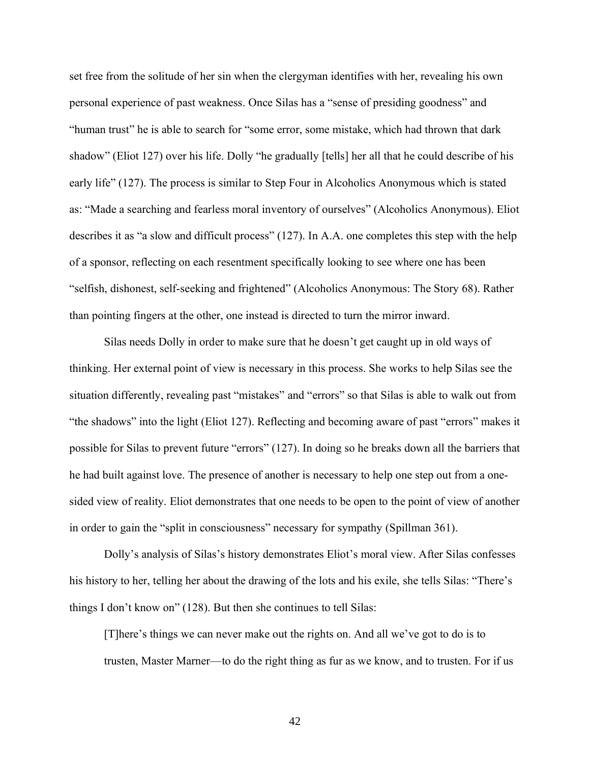set free from the solitude of her sin when the clergyman identifies with her, revealing his own personal experience of past weakness. Once Silas has a "sense of presiding goodness" and "human trust" he is able to search for "some error, some mistake, which had thrown that dark shadow" (Eliot 127) over his life. Dolly "he gradually [tells] her all that he could describe of his early life" (127). The process is similar to Step Four in Alcoholics Anonymous which is stated as: "Made a searching and fearless moral inventory of ourselves" (Alcoholics Anonymous). Eliot describes it as "a slow and difficult process" (127). In A.A. one completes this step with the help of a sponsor, reflecting on each resentment specifically looking to see where one has been "selfish, dishonest, self-seeking and frightened" (Alcoholics Anonymous: The Story 68). Rather than pointing fingers at the other, one instead is directed to turn the mirror inward.

Silas needs Dolly in order to make sure that he doesn't get caught up in old ways of thinking. Her external point of view is necessary in this process. She works to help Silas see the situation differently, revealing past "mistakes" and "errors" so that Silas is able to walk out from "the shadows" into the light (Eliot 127). Reflecting and becoming aware of past "errors" makes it possible for Silas to prevent future "errors" (127). In doing so he breaks down all the barriers that he had built against love. The presence of another is necessary to help one step out from a onesided view of reality. Eliot demonstrates that one needs to be open to the point of view of another in order to gain the "split in consciousness" necessary for sympathy (Spillman 361).

Dolly's analysis of Silas's history demonstrates Eliot's moral view. After Silas confesses his history to her, telling her about the drawing of the lots and his exile, she tells Silas: "There's things I don't know on" (128). But then she continues to tell Silas:

[T]here's things we can never make out the rights on. And all we've got to do is to trusten, Master Marner—to do the right thing as fur as we know, and to trusten. For if us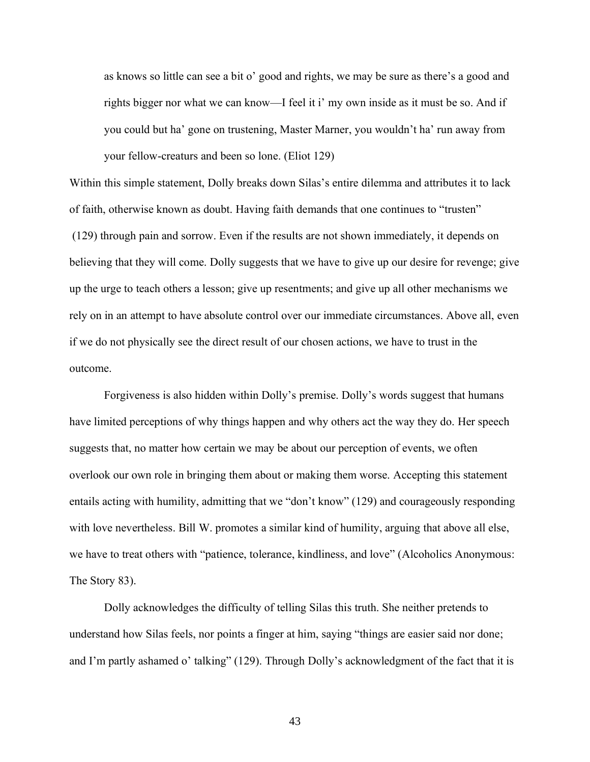as knows so little can see a bit o' good and rights, we may be sure as there's a good and rights bigger nor what we can know—I feel it i' my own inside as it must be so. And if you could but ha' gone on trustening, Master Marner, you wouldn't ha' run away from your fellow-creaturs and been so lone. (Eliot 129)

Within this simple statement, Dolly breaks down Silas's entire dilemma and attributes it to lack of faith, otherwise known as doubt. Having faith demands that one continues to "trusten" (129) through pain and sorrow. Even if the results are not shown immediately, it depends on believing that they will come. Dolly suggests that we have to give up our desire for revenge; give up the urge to teach others a lesson; give up resentments; and give up all other mechanisms we rely on in an attempt to have absolute control over our immediate circumstances. Above all, even if we do not physically see the direct result of our chosen actions, we have to trust in the outcome.

Forgiveness is also hidden within Dolly's premise. Dolly's words suggest that humans have limited perceptions of why things happen and why others act the way they do. Her speech suggests that, no matter how certain we may be about our perception of events, we often overlook our own role in bringing them about or making them worse. Accepting this statement entails acting with humility, admitting that we "don't know" (129) and courageously responding with love nevertheless. Bill W. promotes a similar kind of humility, arguing that above all else, we have to treat others with "patience, tolerance, kindliness, and love" (Alcoholics Anonymous: The Story 83).

Dolly acknowledges the difficulty of telling Silas this truth. She neither pretends to understand how Silas feels, nor points a finger at him, saying "things are easier said nor done; and I'm partly ashamed o' talking" (129). Through Dolly's acknowledgment of the fact that it is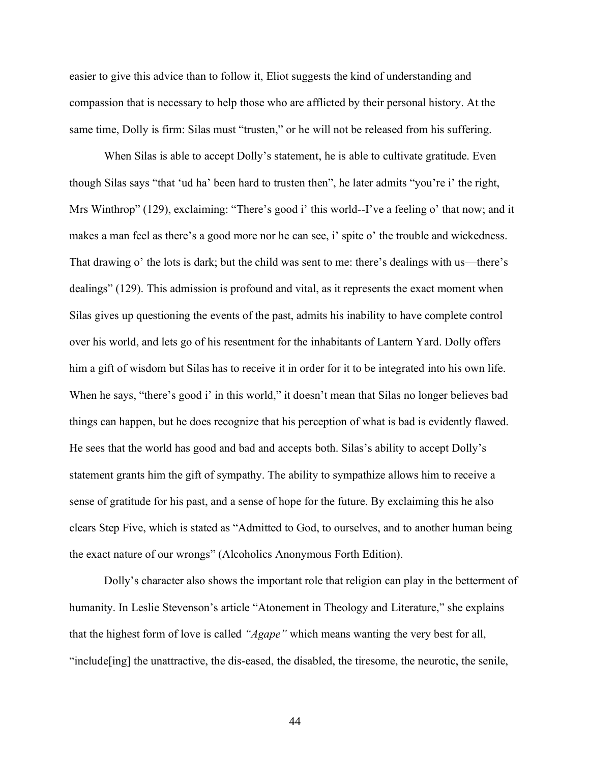easier to give this advice than to follow it, Eliot suggests the kind of understanding and compassion that is necessary to help those who are afflicted by their personal history. At the same time, Dolly is firm: Silas must "trusten," or he will not be released from his suffering.

When Silas is able to accept Dolly's statement, he is able to cultivate gratitude. Even though Silas says "that 'ud ha' been hard to trusten then", he later admits "you're i' the right, Mrs Winthrop" (129), exclaiming: "There's good i' this world--I've a feeling o' that now; and it makes a man feel as there's a good more nor he can see, i' spite o' the trouble and wickedness. That drawing o' the lots is dark; but the child was sent to me: there's dealings with us—there's dealings" (129). This admission is profound and vital, as it represents the exact moment when Silas gives up questioning the events of the past, admits his inability to have complete control over his world, and lets go of his resentment for the inhabitants of Lantern Yard. Dolly offers him a gift of wisdom but Silas has to receive it in order for it to be integrated into his own life. When he says, "there's good i' in this world," it doesn't mean that Silas no longer believes bad things can happen, but he does recognize that his perception of what is bad is evidently flawed. He sees that the world has good and bad and accepts both. Silas's ability to accept Dolly's statement grants him the gift of sympathy. The ability to sympathize allows him to receive a sense of gratitude for his past, and a sense of hope for the future. By exclaiming this he also clears Step Five, which is stated as "Admitted to God, to ourselves, and to another human being the exact nature of our wrongs" (Alcoholics Anonymous Forth Edition).

Dolly's character also shows the important role that religion can play in the betterment of humanity. In Leslie Stevenson's article "Atonement in Theology and Literature," she explains that the highest form of love is called *"Agape"* which means wanting the very best for all, "include[ing] the unattractive, the dis-eased, the disabled, the tiresome, the neurotic, the senile,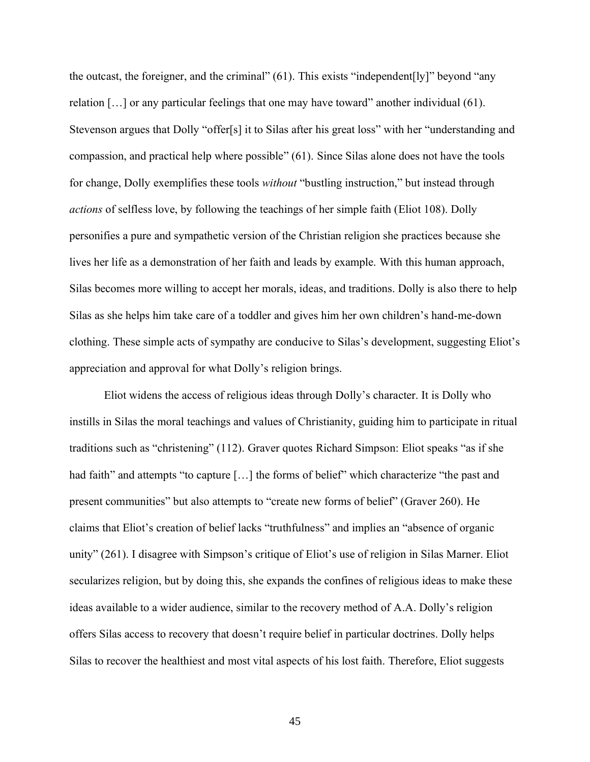the outcast, the foreigner, and the criminal" (61). This exists "independent[ly]" beyond "any relation […] or any particular feelings that one may have toward" another individual (61). Stevenson argues that Dolly "offer[s] it to Silas after his great loss" with her "understanding and compassion, and practical help where possible" (61). Since Silas alone does not have the tools for change, Dolly exemplifies these tools *without* "bustling instruction," but instead through *actions* of selfless love, by following the teachings of her simple faith (Eliot 108). Dolly personifies a pure and sympathetic version of the Christian religion she practices because she lives her life as a demonstration of her faith and leads by example. With this human approach, Silas becomes more willing to accept her morals, ideas, and traditions. Dolly is also there to help Silas as she helps him take care of a toddler and gives him her own children's hand-me-down clothing. These simple acts of sympathy are conducive to Silas's development, suggesting Eliot's appreciation and approval for what Dolly's religion brings.

Eliot widens the access of religious ideas through Dolly's character. It is Dolly who instills in Silas the moral teachings and values of Christianity, guiding him to participate in ritual traditions such as "christening" (112). Graver quotes Richard Simpson: Eliot speaks "as if she had faith" and attempts "to capture [...] the forms of belief" which characterize "the past and present communities" but also attempts to "create new forms of belief" (Graver 260). He claims that Eliot's creation of belief lacks "truthfulness" and implies an "absence of organic unity" (261). I disagree with Simpson's critique of Eliot's use of religion in Silas Marner. Eliot secularizes religion, but by doing this, she expands the confines of religious ideas to make these ideas available to a wider audience, similar to the recovery method of A.A. Dolly's religion offers Silas access to recovery that doesn't require belief in particular doctrines. Dolly helps Silas to recover the healthiest and most vital aspects of his lost faith. Therefore, Eliot suggests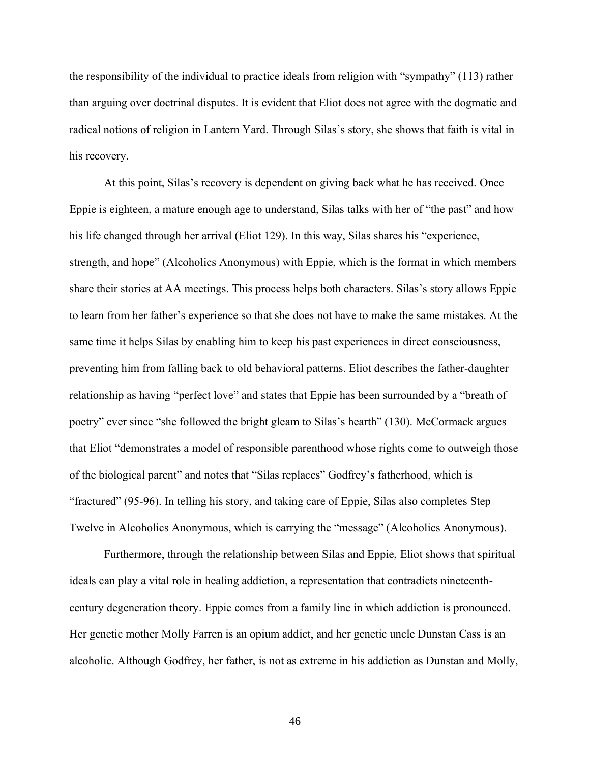the responsibility of the individual to practice ideals from religion with "sympathy" (113) rather than arguing over doctrinal disputes. It is evident that Eliot does not agree with the dogmatic and radical notions of religion in Lantern Yard. Through Silas's story, she shows that faith is vital in his recovery.

At this point, Silas's recovery is dependent on giving back what he has received. Once Eppie is eighteen, a mature enough age to understand, Silas talks with her of "the past" and how his life changed through her arrival (Eliot 129). In this way, Silas shares his "experience, strength, and hope" (Alcoholics Anonymous) with Eppie, which is the format in which members share their stories at AA meetings. This process helps both characters. Silas's story allows Eppie to learn from her father's experience so that she does not have to make the same mistakes. At the same time it helps Silas by enabling him to keep his past experiences in direct consciousness, preventing him from falling back to old behavioral patterns. Eliot describes the father-daughter relationship as having "perfect love" and states that Eppie has been surrounded by a "breath of poetry" ever since "she followed the bright gleam to Silas's hearth" (130). McCormack argues that Eliot "demonstrates a model of responsible parenthood whose rights come to outweigh those of the biological parent" and notes that "Silas replaces" Godfrey's fatherhood, which is "fractured" (95-96). In telling his story, and taking care of Eppie, Silas also completes Step Twelve in Alcoholics Anonymous, which is carrying the "message" (Alcoholics Anonymous).

Furthermore, through the relationship between Silas and Eppie, Eliot shows that spiritual ideals can play a vital role in healing addiction, a representation that contradicts nineteenthcentury degeneration theory. Eppie comes from a family line in which addiction is pronounced. Her genetic mother Molly Farren is an opium addict, and her genetic uncle Dunstan Cass is an alcoholic. Although Godfrey, her father, is not as extreme in his addiction as Dunstan and Molly,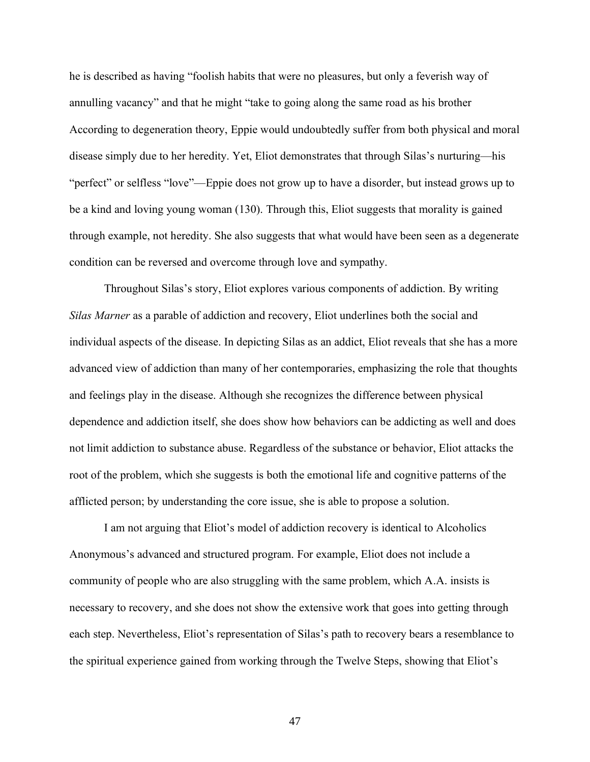he is described as having "foolish habits that were no pleasures, but only a feverish way of annulling vacancy" and that he might "take to going along the same road as his brother According to degeneration theory, Eppie would undoubtedly suffer from both physical and moral disease simply due to her heredity. Yet, Eliot demonstrates that through Silas's nurturing—his "perfect" or selfless "love"—Eppie does not grow up to have a disorder, but instead grows up to be a kind and loving young woman (130). Through this, Eliot suggests that morality is gained through example, not heredity. She also suggests that what would have been seen as a degenerate condition can be reversed and overcome through love and sympathy.

Throughout Silas's story, Eliot explores various components of addiction. By writing *Silas Marner* as a parable of addiction and recovery, Eliot underlines both the social and individual aspects of the disease. In depicting Silas as an addict, Eliot reveals that she has a more advanced view of addiction than many of her contemporaries, emphasizing the role that thoughts and feelings play in the disease. Although she recognizes the difference between physical dependence and addiction itself, she does show how behaviors can be addicting as well and does not limit addiction to substance abuse. Regardless of the substance or behavior, Eliot attacks the root of the problem, which she suggests is both the emotional life and cognitive patterns of the afflicted person; by understanding the core issue, she is able to propose a solution.

I am not arguing that Eliot's model of addiction recovery is identical to Alcoholics Anonymous's advanced and structured program. For example, Eliot does not include a community of people who are also struggling with the same problem, which A.A. insists is necessary to recovery, and she does not show the extensive work that goes into getting through each step. Nevertheless, Eliot's representation of Silas's path to recovery bears a resemblance to the spiritual experience gained from working through the Twelve Steps, showing that Eliot's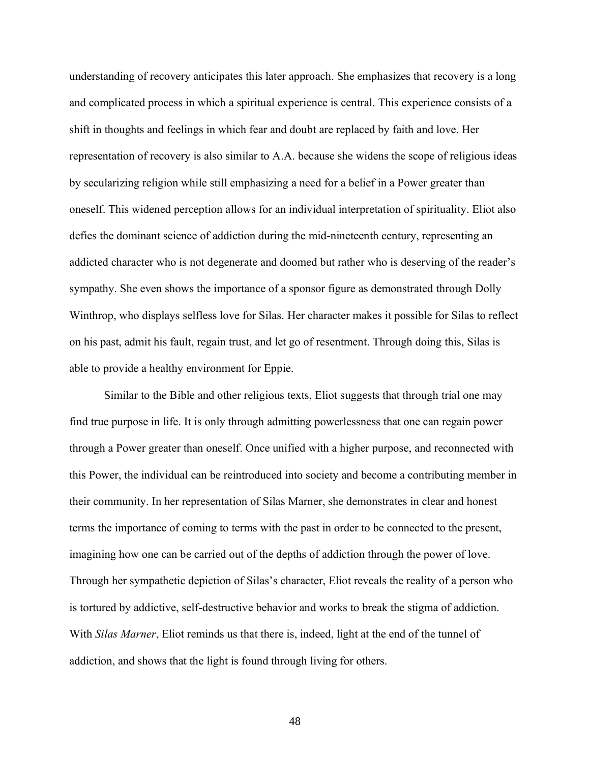understanding of recovery anticipates this later approach. She emphasizes that recovery is a long and complicated process in which a spiritual experience is central. This experience consists of a shift in thoughts and feelings in which fear and doubt are replaced by faith and love. Her representation of recovery is also similar to A.A. because she widens the scope of religious ideas by secularizing religion while still emphasizing a need for a belief in a Power greater than oneself. This widened perception allows for an individual interpretation of spirituality. Eliot also defies the dominant science of addiction during the mid-nineteenth century, representing an addicted character who is not degenerate and doomed but rather who is deserving of the reader's sympathy. She even shows the importance of a sponsor figure as demonstrated through Dolly Winthrop, who displays selfless love for Silas. Her character makes it possible for Silas to reflect on his past, admit his fault, regain trust, and let go of resentment. Through doing this, Silas is able to provide a healthy environment for Eppie.

Similar to the Bible and other religious texts, Eliot suggests that through trial one may find true purpose in life. It is only through admitting powerlessness that one can regain power through a Power greater than oneself. Once unified with a higher purpose, and reconnected with this Power, the individual can be reintroduced into society and become a contributing member in their community. In her representation of Silas Marner, she demonstrates in clear and honest terms the importance of coming to terms with the past in order to be connected to the present, imagining how one can be carried out of the depths of addiction through the power of love. Through her sympathetic depiction of Silas's character, Eliot reveals the reality of a person who is tortured by addictive, self-destructive behavior and works to break the stigma of addiction. With *Silas Marner*, Eliot reminds us that there is, indeed, light at the end of the tunnel of addiction, and shows that the light is found through living for others.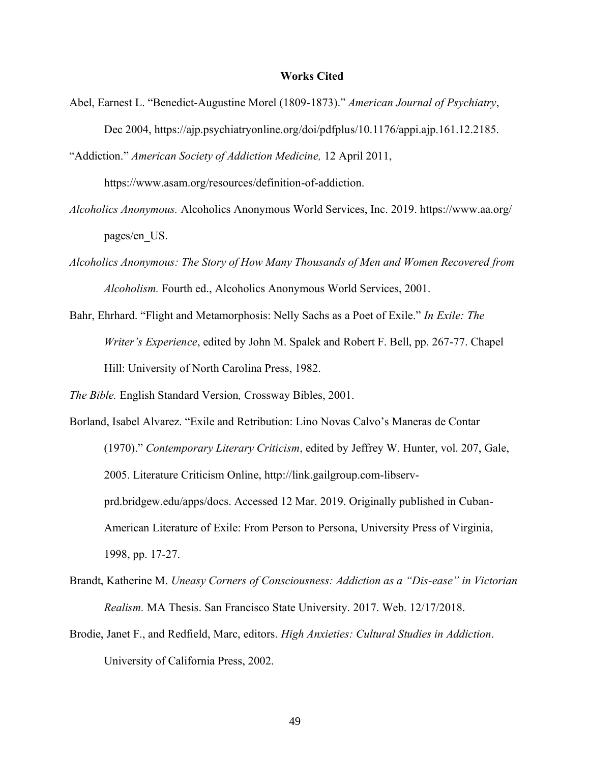## **Works Cited**

- Abel, Earnest L. "Benedict-Augustine Morel (1809-1873)." *American Journal of Psychiatry*, Dec 2004, https://ajp.psychiatryonline.org/doi/pdfplus/10.1176/appi.ajp.161.12.2185.
- "Addiction." *American Society of Addiction Medicine,* 12 April 2011,

https://www.asam.org/resources/definition-of-addiction.

- *Alcoholics Anonymous.* Alcoholics Anonymous World Services, Inc. 2019. https://www.aa.org/ pages/en\_US.
- *Alcoholics Anonymous: The Story of How Many Thousands of Men and Women Recovered from Alcoholism.* Fourth ed., Alcoholics Anonymous World Services, 2001.
- Bahr, Ehrhard. "Flight and Metamorphosis: Nelly Sachs as a Poet of Exile." *In Exile: The Writer's Experience*, edited by John M. Spalek and Robert F. Bell, pp. 267-77. Chapel Hill: University of North Carolina Press, 1982.

*The Bible.* English Standard Version*,* Crossway Bibles, 2001.

- Borland, Isabel Alvarez. "Exile and Retribution: Lino Novas Calvo's Maneras de Contar (1970)." *Contemporary Literary Criticism*, edited by Jeffrey W. Hunter, vol. 207, Gale, 2005. Literature Criticism Online, http://link.gailgroup.com-libservprd.bridgew.edu/apps/docs. Accessed 12 Mar. 2019. Originally published in Cuban-American Literature of Exile: From Person to Persona, University Press of Virginia, 1998, pp. 17-27.
- Brandt, Katherine M. *Uneasy Corners of Consciousness: Addiction as a "Dis-ease" in Victorian Realism.* MA Thesis. San Francisco State University. 2017. Web. 12/17/2018.
- Brodie, Janet F., and Redfield, Marc, editors. *High Anxieties: Cultural Studies in Addiction*. University of California Press, 2002.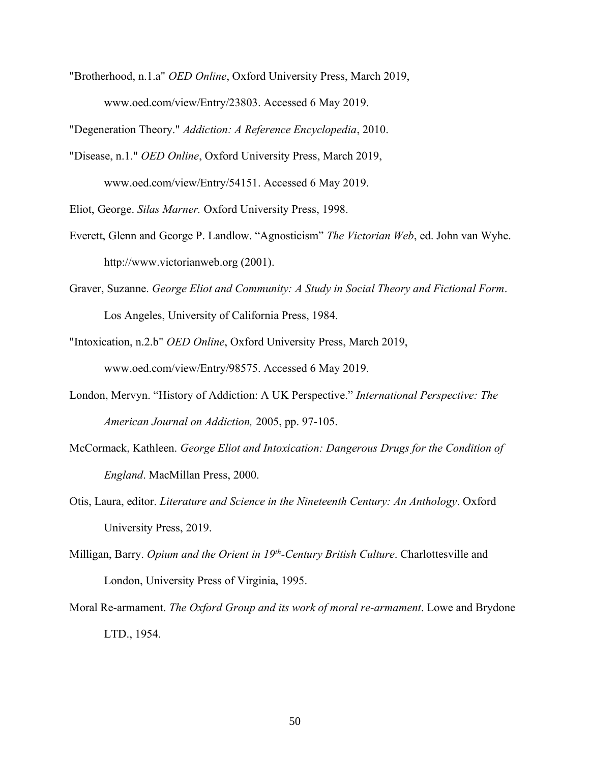"Brotherhood, n.1.a" *OED Online*, Oxford University Press, March 2019, www.oed.com/view/Entry/23803. Accessed 6 May 2019.

"Degeneration Theory." *Addiction: A Reference Encyclopedia*, 2010.

- "Disease, n.1." *OED Online*, Oxford University Press, March 2019, www.oed.com/view/Entry/54151. Accessed 6 May 2019.
- Eliot, George. *Silas Marner.* Oxford University Press, 1998.
- Everett, Glenn and George P. Landlow. "Agnosticism" *The Victorian Web*, ed. John van Wyhe. http://www.victorianweb.org (2001).
- Graver, Suzanne. *George Eliot and Community: A Study in Social Theory and Fictional Form*. Los Angeles, University of California Press, 1984.
- "Intoxication, n.2.b" *OED Online*, Oxford University Press, March 2019, www.oed.com/view/Entry/98575. Accessed 6 May 2019.
- London, Mervyn. "History of Addiction: A UK Perspective." *International Perspective: The American Journal on Addiction,* 2005, pp. 97-105.
- McCormack, Kathleen. *George Eliot and Intoxication: Dangerous Drugs for the Condition of England*. MacMillan Press, 2000.
- Otis, Laura, editor. *Literature and Science in the Nineteenth Century: An Anthology*. Oxford University Press, 2019.
- Milligan, Barry. *Opium and the Orient in 19th -Century British Culture*. Charlottesville and London, University Press of Virginia, 1995.
- Moral Re-armament. *The Oxford Group and its work of moral re-armament*. Lowe and Brydone LTD., 1954.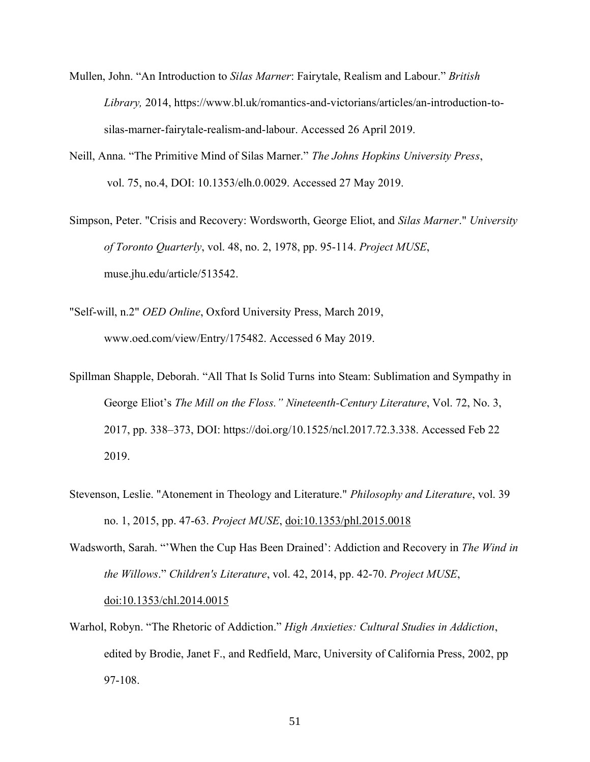- Mullen, John. "An Introduction to *Silas Marner*: Fairytale, Realism and Labour." *British Library,* 2014, https://www.bl.uk/romantics-and-victorians/articles/an-introduction-tosilas-marner-fairytale-realism-and-labour. Accessed 26 April 2019.
- Neill, Anna. "The Primitive Mind of Silas Marner." *The Johns Hopkins University Press*, vol. 75, no.4, DOI: 10.1353/elh.0.0029. Accessed 27 May 2019.
- Simpson, Peter. "Crisis and Recovery: Wordsworth, George Eliot, and *Silas Marner*." *University of Toronto Quarterly*, vol. 48, no. 2, 1978, pp. 95-114. *Project MUSE*, muse.jhu.edu/article/513542.
- "Self-will, n.2" *OED Online*, Oxford University Press, March 2019, www.oed.com/view/Entry/175482. Accessed 6 May 2019.
- Spillman Shapple, Deborah. "All That Is Solid Turns into Steam: Sublimation and Sympathy in George Eliot's *The Mill on the Floss." Nineteenth-Century Literature*, Vol. 72, No. 3, 2017, pp. 338–373, DOI: https://doi.org/10.1525/ncl.2017.72.3.338. Accessed Feb 22 2019.
- Stevenson, Leslie. "Atonement in Theology and Literature." *Philosophy and Literature*, vol. 39 no. 1, 2015, pp. 47-63. *Project MUSE*, [doi:10.1353/phl.2015.0018](http://doi.org/10.1353/phl.2015.0018)
- Wadsworth, Sarah. "'When the Cup Has Been Drained': Addiction and Recovery in *The Wind in the Willows*." *Children's Literature*, vol. 42, 2014, pp. 42-70. *Project MUSE*, [doi:10.1353/chl.2014.0015](http://doi.org/10.1353/chl.2014.0015)
- Warhol, Robyn. "The Rhetoric of Addiction." *High Anxieties: Cultural Studies in Addiction*, edited by Brodie, Janet F., and Redfield, Marc, University of California Press, 2002, pp 97-108.